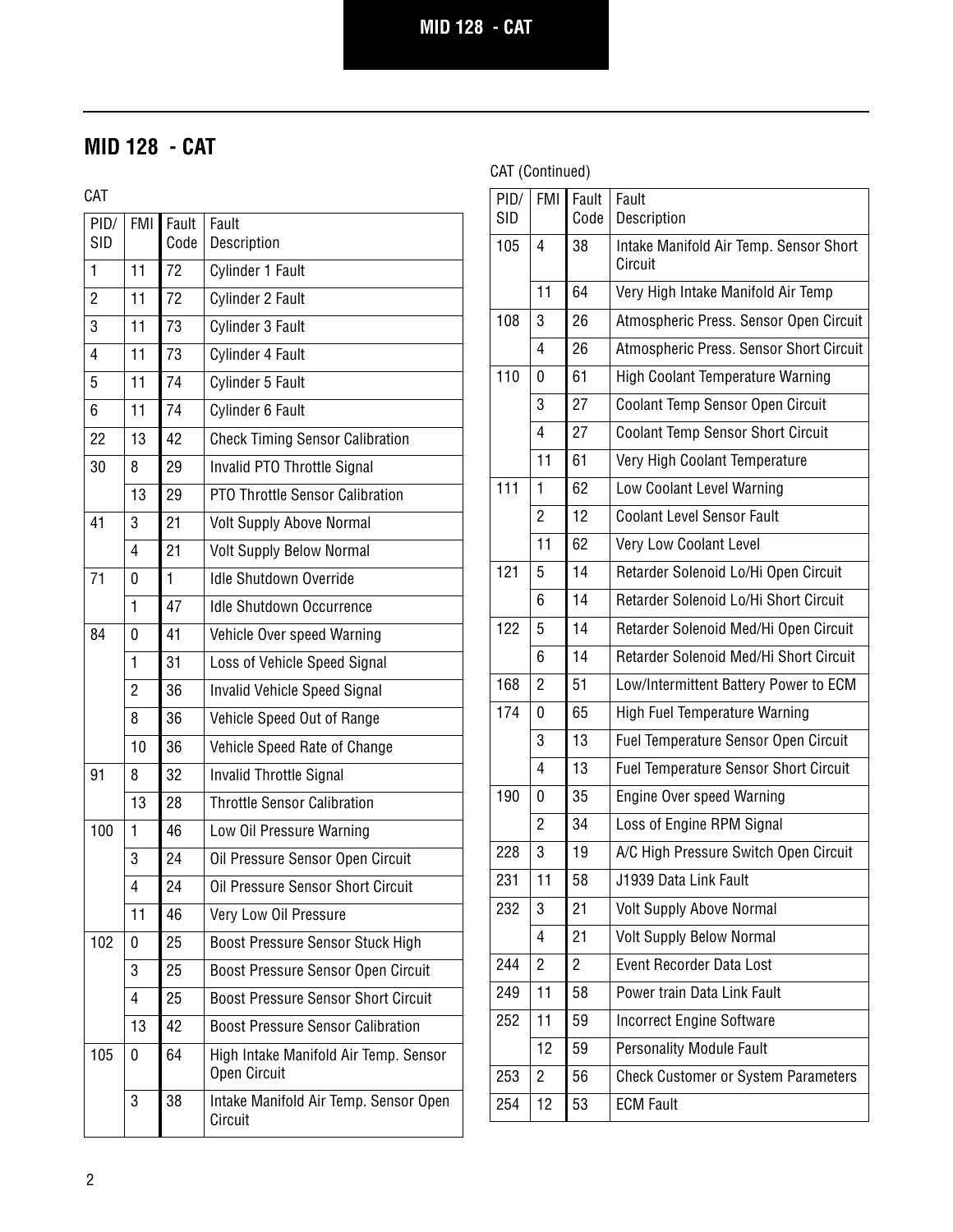# **MID 128 - CAT**

CAT

| PID/<br><b>SID</b> | <b>FMI</b>     | Fault<br>Code | Fault<br>Description                                  |
|--------------------|----------------|---------------|-------------------------------------------------------|
| 1                  | 11             | 72            | Cylinder 1 Fault                                      |
| $\overline{2}$     | 11             | 72            | Cylinder 2 Fault                                      |
| 3                  | 11             | 73            | Cylinder 3 Fault                                      |
| $\overline{4}$     | 11             | 73            | Cylinder 4 Fault                                      |
| 5                  | 11             | 74            | Cylinder 5 Fault                                      |
| 6                  | 11             | 74            | Cylinder 6 Fault                                      |
| 22                 | 13             | 42            | <b>Check Timing Sensor Calibration</b>                |
| 30                 | 8              | 29            | Invalid PTO Throttle Signal                           |
|                    | 13             | 29            | PTO Throttle Sensor Calibration                       |
| 41                 | 3              | 21            | <b>Volt Supply Above Normal</b>                       |
|                    | 4              | 21            | <b>Volt Supply Below Normal</b>                       |
| 71                 | 0              | $\mathbf{1}$  | <b>Idle Shutdown Override</b>                         |
|                    | 1              | 47            | <b>Idle Shutdown Occurrence</b>                       |
| 84                 | 0              | 41            | Vehicle Over speed Warning                            |
|                    | 1              | 31            | Loss of Vehicle Speed Signal                          |
|                    | $\overline{2}$ | 36            | <b>Invalid Vehicle Speed Signal</b>                   |
|                    | 8              | 36            | Vehicle Speed Out of Range                            |
|                    | 10             | 36            | Vehicle Speed Rate of Change                          |
| 91                 | 8              | 32            | Invalid Throttle Signal                               |
|                    | 13             | 28            | <b>Throttle Sensor Calibration</b>                    |
| 100                | 1              | 46            | Low Oil Pressure Warning                              |
|                    | 3              | 24            | Oil Pressure Sensor Open Circuit                      |
|                    | $\overline{4}$ | 24            | Oil Pressure Sensor Short Circuit                     |
|                    | 11             | 46            | Very Low Oil Pressure                                 |
| 102                | 0              | 25            | Boost Pressure Sensor Stuck High                      |
|                    | 3              | 25            | Boost Pressure Sensor Open Circuit                    |
|                    | 4              | 25            | <b>Boost Pressure Sensor Short Circuit</b>            |
|                    | 13             | 42            | <b>Boost Pressure Sensor Calibration</b>              |
| 105                | 0              | 64            | High Intake Manifold Air Temp. Sensor<br>Open Circuit |
|                    | 3              | 38            | Intake Manifold Air Temp. Sensor Open<br>Circuit      |

#### CAT (Continued)

| PID/<br><b>SID</b> | FMI I          | Fault<br>Code | Fault<br>Description                              |
|--------------------|----------------|---------------|---------------------------------------------------|
| 105                | 4              | 38            | Intake Manifold Air Temp. Sensor Short<br>Circuit |
|                    | 11             | 64            | Very High Intake Manifold Air Temp                |
| 108                | 3              | 26            | Atmospheric Press. Sensor Open Circuit            |
|                    | 4              | 26            | Atmospheric Press. Sensor Short Circuit           |
| 110                | 0              | 61            | High Coolant Temperature Warning                  |
|                    | 3              | 27            | Coolant Temp Sensor Open Circuit                  |
|                    | 4              | 27            | <b>Coolant Temp Sensor Short Circuit</b>          |
|                    | 11             | 61            | Very High Coolant Temperature                     |
| 111                | 1              | 62            | Low Coolant Level Warning                         |
|                    | $\overline{2}$ | 12            | <b>Coolant Level Sensor Fault</b>                 |
|                    | 11             | 62            | Very Low Coolant Level                            |
| 121                | 5              | 14            | Retarder Solenoid Lo/Hi Open Circuit              |
|                    | 6              | 14            | Retarder Solenoid Lo/Hi Short Circuit             |
| 122                | 5              | 14            | Retarder Solenoid Med/Hi Open Circuit             |
|                    | 6              | 14            | Retarder Solenoid Med/Hi Short Circuit            |
| 168                | $\overline{2}$ | 51            | Low/Intermittent Battery Power to ECM             |
| 174                | 0              | 65            | High Fuel Temperature Warning                     |
|                    | 3              | 13            | Fuel Temperature Sensor Open Circuit              |
|                    | 4              | 13            | <b>Fuel Temperature Sensor Short Circuit</b>      |
| 190                | 0              | 35            | <b>Engine Over speed Warning</b>                  |
|                    | $\overline{2}$ | 34            | Loss of Engine RPM Signal                         |
| 228                | 3              | 19            | A/C High Pressure Switch Open Circuit             |
| 231                | 11             | 58            | J1939 Data Link Fault                             |
| 232                | 3              | 21            | <b>Volt Supply Above Normal</b>                   |
|                    | 4              | 21            | <b>Volt Supply Below Normal</b>                   |
| 244                | $\overline{c}$ | 2             | Event Recorder Data Lost                          |
| 249                | 11             | 58            | Power train Data Link Fault                       |
| 252                | 11             | 59            | <b>Incorrect Engine Software</b>                  |
|                    | 12             | 59            | <b>Personality Module Fault</b>                   |
| 253                | $\overline{c}$ | 56            | <b>Check Customer or System Parameters</b>        |
| 254                | 12             | 53            | <b>ECM Fault</b>                                  |
|                    |                |               |                                                   |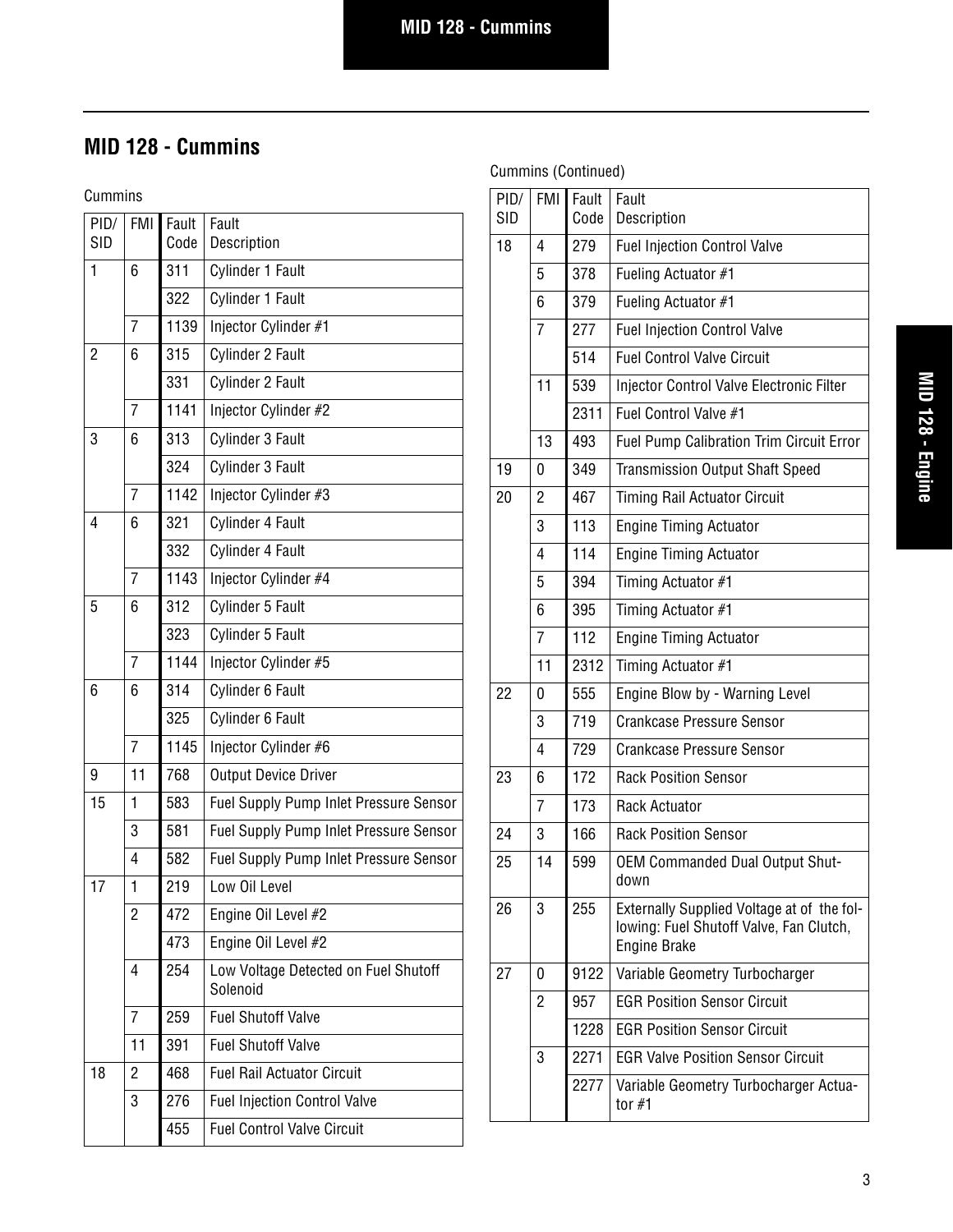# **MID 128 - Cummins**

Cummins

| PID/<br><b>SID</b> | <b>FMI</b>     | Fault<br>Code | Fault<br>Description                             |
|--------------------|----------------|---------------|--------------------------------------------------|
| 1                  | 6              | 311           | Cylinder 1 Fault                                 |
|                    |                | 322           | Cylinder 1 Fault                                 |
|                    | $\overline{7}$ | 1139          | Injector Cylinder #1                             |
| $\overline{2}$     | 6              | 315           | Cylinder 2 Fault                                 |
|                    |                | 331           | Cylinder 2 Fault                                 |
|                    | $\overline{7}$ | 1141          | Injector Cylinder #2                             |
| 3                  | 6              | 313           | Cylinder 3 Fault                                 |
|                    |                | 324           | Cylinder 3 Fault                                 |
|                    | $\overline{7}$ | 1142          | Injector Cylinder #3                             |
| 4                  | 6              | 321           | Cylinder 4 Fault                                 |
|                    |                | 332           | Cylinder 4 Fault                                 |
|                    | $\overline{7}$ | 1143          | Injector Cylinder #4                             |
| 5                  | 6              | 312           | Cylinder 5 Fault                                 |
|                    |                | 323           | Cylinder 5 Fault                                 |
|                    | $\overline{7}$ | 1144          | Injector Cylinder #5                             |
| 6                  | 6              | 314           | Cylinder 6 Fault                                 |
|                    |                | 325           | Cylinder 6 Fault                                 |
|                    | $\overline{7}$ | 1145          | Injector Cylinder #6                             |
| 9                  | 11             | 768           | <b>Output Device Driver</b>                      |
| 15                 | 1              | 583           | Fuel Supply Pump Inlet Pressure Sensor           |
|                    | 3              | 581           | Fuel Supply Pump Inlet Pressure Sensor           |
|                    | 4              | 582           | Fuel Supply Pump Inlet Pressure Sensor           |
| 17                 | 1              | 219           | Low Oil Level                                    |
|                    | $\overline{c}$ | 472           | Engine Oil Level #2                              |
|                    |                | 473           | Engine Oil Level #2                              |
|                    | 4              | 254           | Low Voltage Detected on Fuel Shutoff<br>Solenoid |
|                    | $\overline{7}$ | 259           | <b>Fuel Shutoff Valve</b>                        |
|                    | 11             | 391           | <b>Fuel Shutoff Valve</b>                        |
| 18                 | 2              | 468           | <b>Fuel Rail Actuator Circuit</b>                |
|                    | 3              | 276           | <b>Fuel Injection Control Valve</b>              |
|                    |                | 455           | <b>Fuel Control Valve Circuit</b>                |
|                    |                |               |                                                  |

| <b>FMI</b>     | Fault<br>Code | Fault<br>Description                                                                                         |
|----------------|---------------|--------------------------------------------------------------------------------------------------------------|
| 4              | 279           | <b>Fuel Injection Control Valve</b>                                                                          |
| 5              | 378           | Fueling Actuator #1                                                                                          |
| 6              | 379           | Fueling Actuator #1                                                                                          |
| $\overline{7}$ | 277           | <b>Fuel Injection Control Valve</b>                                                                          |
|                | 514           | <b>Fuel Control Valve Circuit</b>                                                                            |
| 11             | 539           | <b>Injector Control Valve Electronic Filter</b>                                                              |
|                | 2311          | Fuel Control Valve #1                                                                                        |
| 13             | 493           | <b>Fuel Pump Calibration Trim Circuit Error</b>                                                              |
| 0              | 349           | <b>Transmission Output Shaft Speed</b>                                                                       |
| $\overline{2}$ | 467           | <b>Timing Rail Actuator Circuit</b>                                                                          |
| 3              | 113           | <b>Engine Timing Actuator</b>                                                                                |
| $\overline{4}$ | 114           | <b>Engine Timing Actuator</b>                                                                                |
| 5              | 394           | Timing Actuator #1                                                                                           |
| 6              | 395           | Timing Actuator #1                                                                                           |
| $\overline{7}$ | 112           | <b>Engine Timing Actuator</b>                                                                                |
| 11             | 2312          | Timing Actuator #1                                                                                           |
| 0              | 555           | Engine Blow by - Warning Level                                                                               |
| 3              | 719           | <b>Crankcase Pressure Sensor</b>                                                                             |
| $\overline{4}$ | 729           | <b>Crankcase Pressure Sensor</b>                                                                             |
| 6              | 172           | <b>Rack Position Sensor</b>                                                                                  |
| $\overline{7}$ | 173           | Rack Actuator                                                                                                |
| 3              | 166           | <b>Rack Position Sensor</b>                                                                                  |
| 14             | 599           | OEM Commanded Dual Output Shut-<br>down                                                                      |
| 3              | 255           | Externally Supplied Voltage at of the fol-<br>lowing: Fuel Shutoff Valve, Fan Clutch,<br><b>Engine Brake</b> |
| 0              | 9122          | Variable Geometry Turbocharger                                                                               |
| $\overline{2}$ | 957           | <b>EGR Position Sensor Circuit</b>                                                                           |
|                | 1228          | <b>EGR Position Sensor Circuit</b>                                                                           |
| 3              | 2271          | <b>EGR Valve Position Sensor Circuit</b>                                                                     |
|                | 2277          | Variable Geometry Turbocharger Actua-<br>tor $#1$                                                            |
|                |               |                                                                                                              |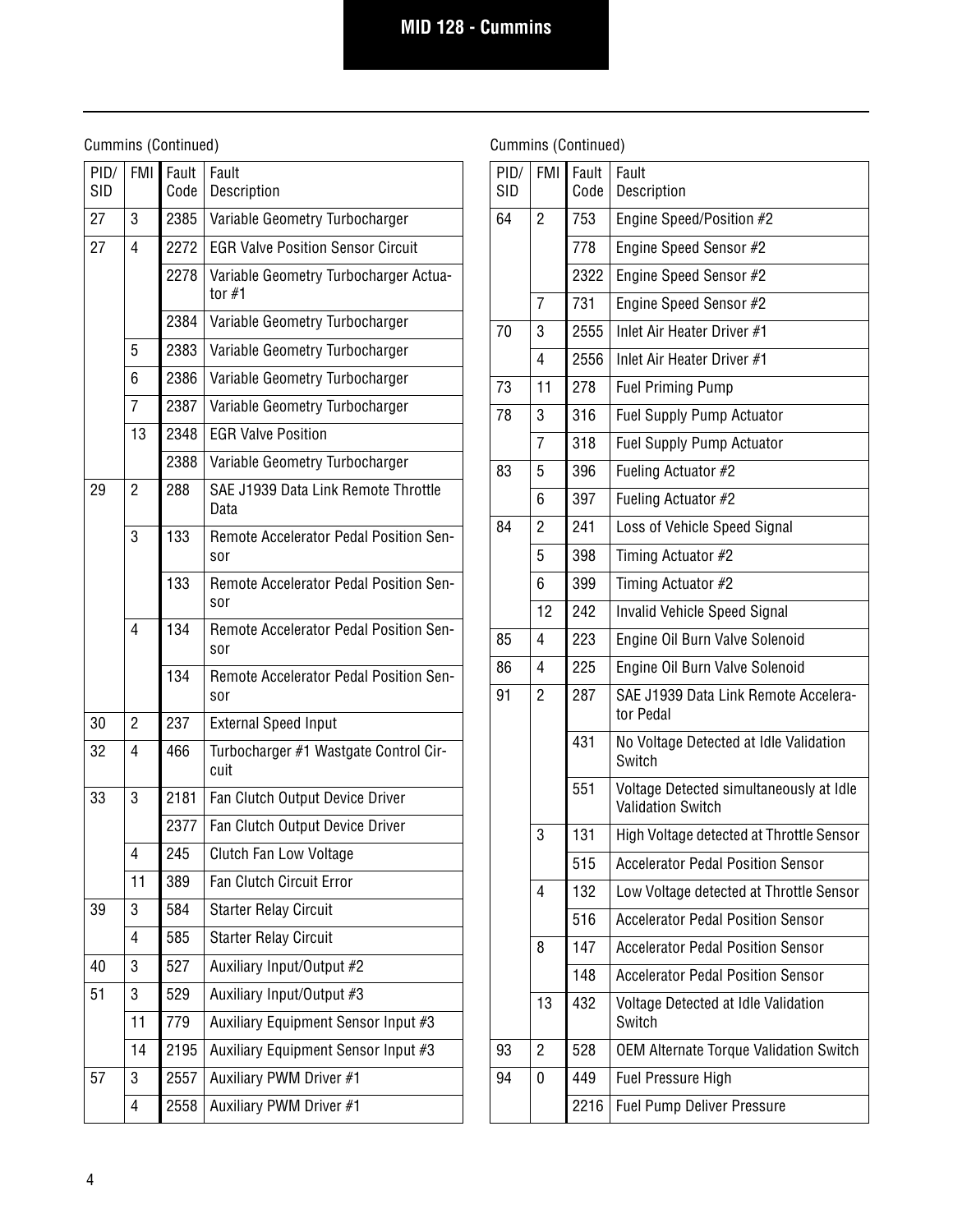| PID/<br><b>SID</b> | FMI            | Fault<br>Code | Fault<br>Description                                 |
|--------------------|----------------|---------------|------------------------------------------------------|
| 27                 | 3              | 2385          | Variable Geometry Turbocharger                       |
| 27                 | 4              | 2272          | <b>EGR Valve Position Sensor Circuit</b>             |
|                    |                | 2278          | Variable Geometry Turbocharger Actua-<br>tor $#1$    |
|                    |                | 2384          | Variable Geometry Turbocharger                       |
|                    | 5              | 2383          | Variable Geometry Turbocharger                       |
|                    | 6              | 2386          | Variable Geometry Turbocharger                       |
|                    | $\overline{7}$ | 2387          | Variable Geometry Turbocharger                       |
|                    | 13             | 2348          | <b>EGR Valve Position</b>                            |
|                    |                | 2388          | Variable Geometry Turbocharger                       |
| 29                 | $\overline{2}$ | 288           | SAE J1939 Data Link Remote Throttle<br>Data          |
|                    | 3              | 133           | Remote Accelerator Pedal Position Sen-<br>sor        |
|                    |                | 133           | <b>Remote Accelerator Pedal Position Sen-</b><br>sor |
|                    | 4              | 134           | Remote Accelerator Pedal Position Sen-<br>sor        |
|                    |                | 134           | Remote Accelerator Pedal Position Sen-<br>sor        |
| 30                 | 2              | 237           | <b>External Speed Input</b>                          |
| 32                 | 4              | 466           | Turbocharger #1 Wastgate Control Cir-<br>cuit        |
| 33                 | 3              | 2181          | Fan Clutch Output Device Driver                      |
|                    |                | 2377          | Fan Clutch Output Device Driver                      |
|                    | 4              | 245           | Clutch Fan Low Voltage                               |
|                    | 11             | 389           | <b>Fan Clutch Circuit Error</b>                      |
| 39                 | 3              | 584           | <b>Starter Relay Circuit</b>                         |
|                    | 4              | 585           | <b>Starter Relay Circuit</b>                         |
| 40                 | 3              | 527           | Auxiliary Input/Output #2                            |
| 51                 | 3              | 529           | Auxiliary Input/Output #3                            |
|                    | 11             | 779           | Auxiliary Equipment Sensor Input #3                  |
|                    | 14             | 2195          | Auxiliary Equipment Sensor Input #3                  |
| 57                 | 3              | 2557          | Auxiliary PWM Driver #1                              |
|                    | 4              | 2558          | Auxiliary PWM Driver #1                              |

| PID/<br><b>SID</b> | <b>FMI</b>     | Fault<br>Code | Fault<br>Description                                                |
|--------------------|----------------|---------------|---------------------------------------------------------------------|
| 64                 | $\overline{2}$ | 753           | Engine Speed/Position #2                                            |
|                    |                | 778           | Engine Speed Sensor #2                                              |
|                    |                | 2322          | Engine Speed Sensor #2                                              |
|                    | 7              | 731           | Engine Speed Sensor #2                                              |
| 70                 | 3              | 2555          | Inlet Air Heater Driver #1                                          |
|                    | 4              | 2556          | Inlet Air Heater Driver #1                                          |
| 73                 | 11             | 278           | <b>Fuel Priming Pump</b>                                            |
| 78                 | 3              | 316           | <b>Fuel Supply Pump Actuator</b>                                    |
|                    | 7              | 318           | <b>Fuel Supply Pump Actuator</b>                                    |
| 83                 | 5              | 396           | Fueling Actuator #2                                                 |
|                    | 6              | 397           | Fueling Actuator #2                                                 |
| 84                 | $\overline{2}$ | 241           | Loss of Vehicle Speed Signal                                        |
|                    | 5              | 398           | Timing Actuator #2                                                  |
|                    | 6              | 399           | Timing Actuator #2                                                  |
|                    | 12             | 242           | <b>Invalid Vehicle Speed Signal</b>                                 |
| 85                 | 4              | 223           | Engine Oil Burn Valve Solenoid                                      |
| 86                 | 4              | 225           | Engine Oil Burn Valve Solenoid                                      |
| 91                 | $\overline{2}$ | 287           | SAE J1939 Data Link Remote Accelera-<br>tor Pedal                   |
|                    |                | 431           | No Voltage Detected at Idle Validation<br>Switch                    |
|                    |                | 551           | Voltage Detected simultaneously at Idle<br><b>Validation Switch</b> |
|                    | 3              | 131           | High Voltage detected at Throttle Sensor                            |
|                    |                | 515           | <b>Accelerator Pedal Position Sensor</b>                            |
|                    | 4              | 132           | Low Voltage detected at Throttle Sensor                             |
|                    |                | 516           | <b>Accelerator Pedal Position Sensor</b>                            |
|                    | 8              | 147           | <b>Accelerator Pedal Position Sensor</b>                            |
|                    |                | 148           | <b>Accelerator Pedal Position Sensor</b>                            |
|                    | 13             | 432           | Voltage Detected at Idle Validation<br>Switch                       |
| 93                 | $\overline{2}$ | 528           | <b>OEM Alternate Torque Validation Switch</b>                       |
| 94                 | 0              | 449           | <b>Fuel Pressure High</b>                                           |
|                    |                | 2216          | <b>Fuel Pump Deliver Pressure</b>                                   |
|                    |                |               |                                                                     |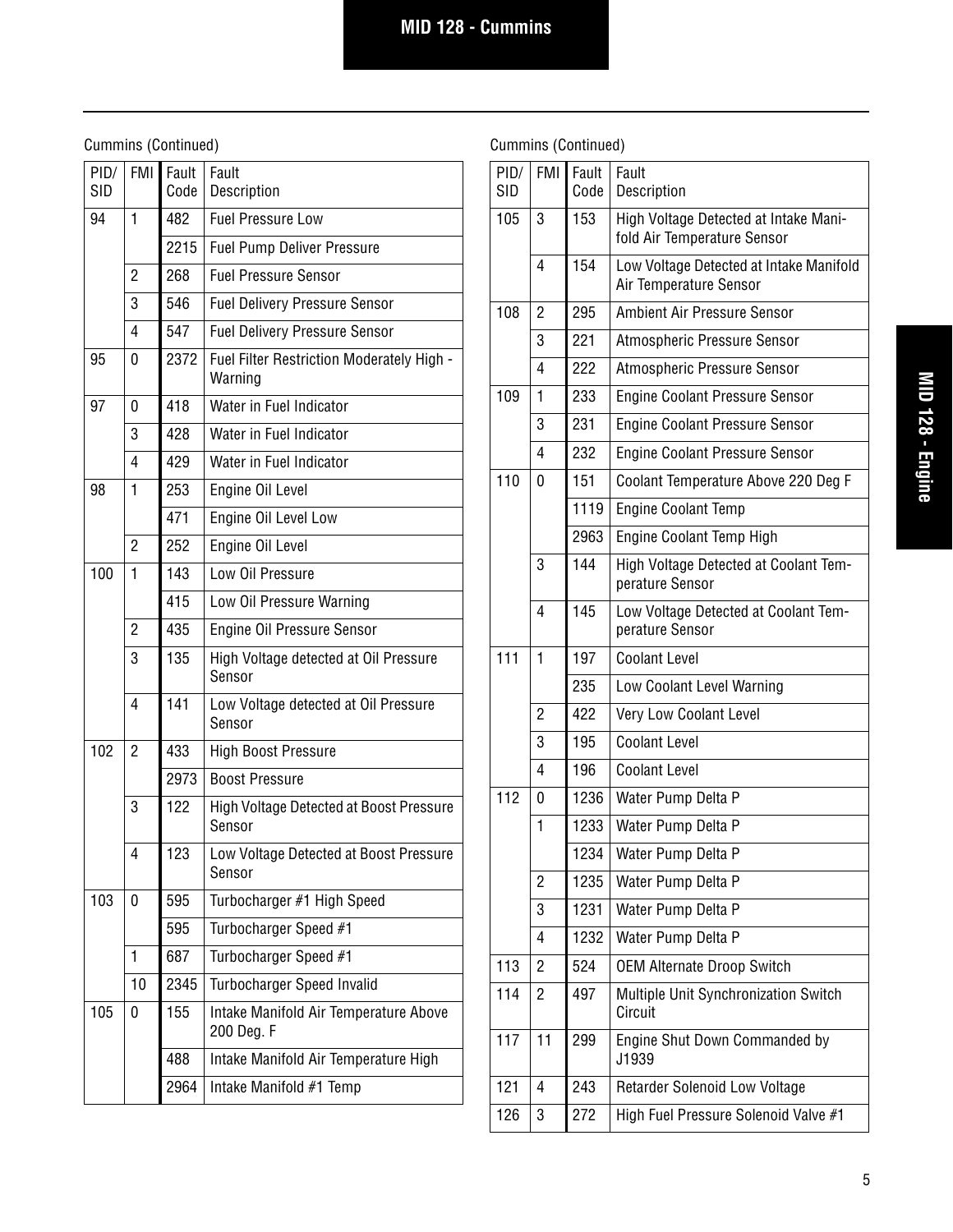| PID/<br><b>SID</b> | <b>FMI</b>     | Fault<br>Code | Fault<br>Description                                 |
|--------------------|----------------|---------------|------------------------------------------------------|
| 94                 | 1              | 482           | <b>Fuel Pressure Low</b>                             |
|                    |                | 2215          | <b>Fuel Pump Deliver Pressure</b>                    |
|                    | 2              | 268           | <b>Fuel Pressure Sensor</b>                          |
|                    | 3              | 546           | <b>Fuel Delivery Pressure Sensor</b>                 |
|                    | $\overline{4}$ | 547           | <b>Fuel Delivery Pressure Sensor</b>                 |
| 95                 | 0              | 2372          | Fuel Filter Restriction Moderately High -<br>Warning |
| 97                 | 0              | 418           | Water in Fuel Indicator                              |
|                    | 3              | 428           | Water in Fuel Indicator                              |
|                    | $\overline{4}$ | 429           | Water in Fuel Indicator                              |
| 98                 | 1              | 253           | Engine Oil Level                                     |
|                    |                | 471           | Engine Oil Level Low                                 |
|                    | $\overline{2}$ | 252           | Engine Oil Level                                     |
| 100                | 1              | 143           | Low Oil Pressure                                     |
|                    |                | 415           | Low Oil Pressure Warning                             |
|                    | $\overline{2}$ | 435           | Engine Oil Pressure Sensor                           |
|                    | 3              | 135           | High Voltage detected at Oil Pressure<br>Sensor      |
|                    | 4              | 141           | Low Voltage detected at Oil Pressure<br>Sensor       |
| 102                | 2              | 433           | <b>High Boost Pressure</b>                           |
|                    |                | 2973          | <b>Boost Pressure</b>                                |
|                    | 3              | 122           | High Voltage Detected at Boost Pressure<br>Sensor    |
|                    | 4              | 123           | Low Voltage Detected at Boost Pressure<br>Sensor     |
| 103                | 0              | 595           | Turbocharger #1 High Speed                           |
|                    |                | 595           | Turbocharger Speed #1                                |
|                    | 1              | 687           | Turbocharger Speed #1                                |
|                    | 10             | 2345          | Turbocharger Speed Invalid                           |
| 105                | 0              | 155           | Intake Manifold Air Temperature Above<br>200 Deg. F  |
|                    |                | 488           | Intake Manifold Air Temperature High                 |
|                    |                | 2964          | Intake Manifold #1 Temp                              |

| PID/<br><b>SID</b> | <b>FMI</b>     | Fault<br>Code | Fault<br>Description                                                 |
|--------------------|----------------|---------------|----------------------------------------------------------------------|
| 105                | 3              | 153           | High Voltage Detected at Intake Mani-<br>fold Air Temperature Sensor |
|                    | 4              | 154           | Low Voltage Detected at Intake Manifold<br>Air Temperature Sensor    |
| 108                | $\overline{2}$ | 295           | Ambient Air Pressure Sensor                                          |
|                    | 3              | 221           | Atmospheric Pressure Sensor                                          |
|                    | 4              | 222           | Atmospheric Pressure Sensor                                          |
| 109                | 1              | 233           | <b>Engine Coolant Pressure Sensor</b>                                |
|                    | 3              | 231           | <b>Engine Coolant Pressure Sensor</b>                                |
|                    | 4              | 232           | <b>Engine Coolant Pressure Sensor</b>                                |
| 110                | 0              | 151           | Coolant Temperature Above 220 Deg F                                  |
|                    |                | 1119          | <b>Engine Coolant Temp</b>                                           |
|                    |                | 2963          | Engine Coolant Temp High                                             |
|                    | 3              | 144           | High Voltage Detected at Coolant Tem-<br>perature Sensor             |
|                    | 4              | 145           | Low Voltage Detected at Coolant Tem-<br>perature Sensor              |
| 111                | 1              | 197           | <b>Coolant Level</b>                                                 |
|                    |                | 235           | Low Coolant Level Warning                                            |
|                    | $\overline{2}$ | 422           | Very Low Coolant Level                                               |
|                    | 3              | 195           | <b>Coolant Level</b>                                                 |
|                    | 4              | 196           | <b>Coolant Level</b>                                                 |
| 112                | 0              | 1236          | Water Pump Delta P                                                   |
|                    | 1              | 1233          | Water Pump Delta P                                                   |
|                    |                | 1234          | Water Pump Delta P                                                   |
|                    | $\overline{2}$ | 1235          | Water Pump Delta P                                                   |
|                    | 3              | 1231          | Water Pump Delta P                                                   |
|                    | 4              | 1232          | Water Pump Delta P                                                   |
| 113                | $\overline{2}$ | 524           | <b>OEM Alternate Droop Switch</b>                                    |
| 114                | $\overline{c}$ | 497           | Multiple Unit Synchronization Switch<br>Circuit                      |
| 117                | 11             | 299           | Engine Shut Down Commanded by<br>J1939                               |
| 121                | 4              | 243           | Retarder Solenoid Low Voltage                                        |
| 126                | 3              | 272           | High Fuel Pressure Solenoid Valve #1                                 |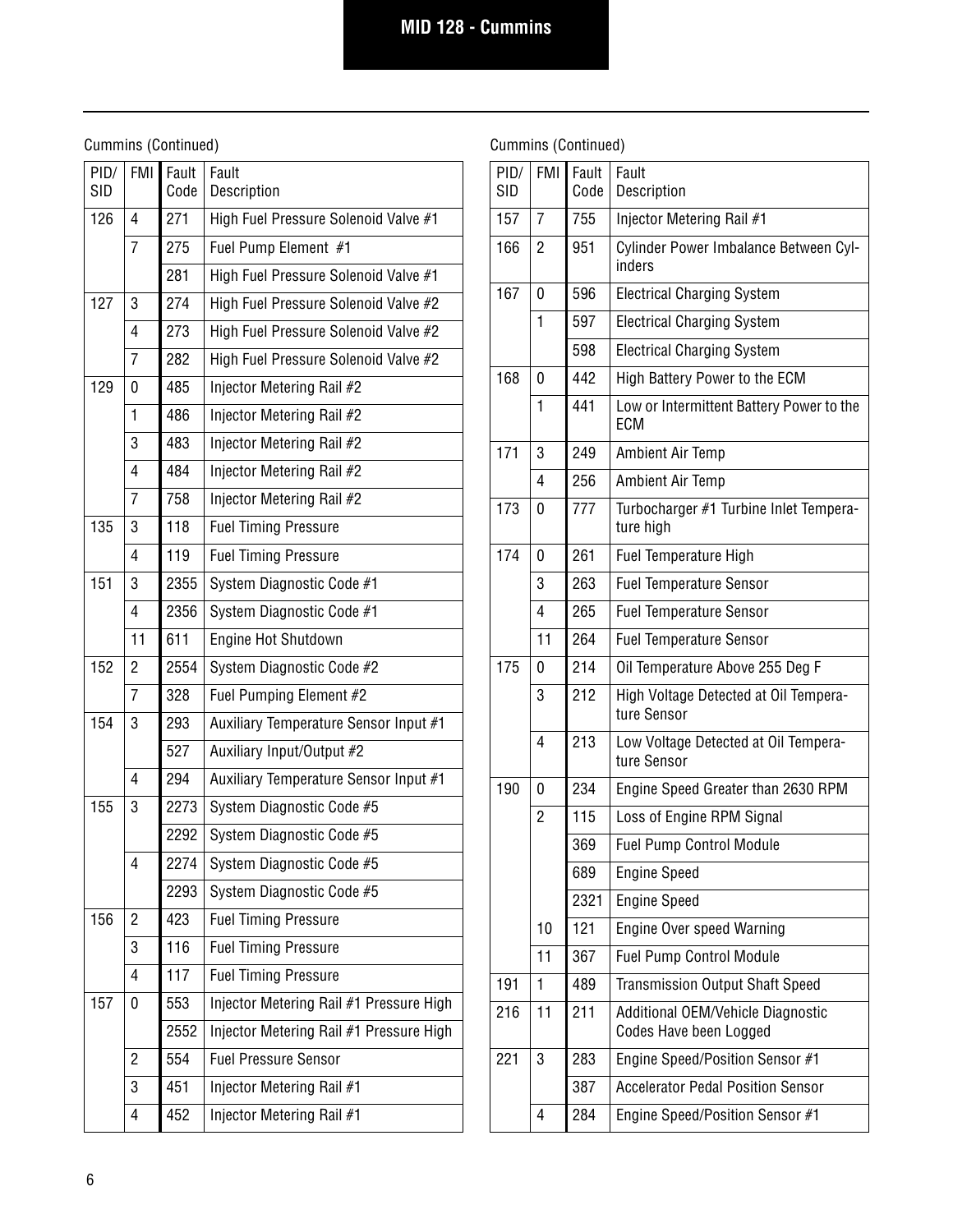| 271<br>126<br>High Fuel Pressure Solenoid Valve #1<br>4<br>275<br>7<br>Fuel Pump Element #1<br>281<br>High Fuel Pressure Solenoid Valve #1<br>127<br>274<br>3<br>High Fuel Pressure Solenoid Valve #2<br>273<br>4<br>High Fuel Pressure Solenoid Valve #2<br>7<br>282<br>High Fuel Pressure Solenoid Valve #2<br>129<br>485<br>0<br>Injector Metering Rail #2<br>1<br>486<br>Injector Metering Rail #2<br>3<br>483<br>Injector Metering Rail #2<br>4<br>484<br>Injector Metering Rail #2<br>758<br>7<br>Injector Metering Rail #2<br>118<br>135<br>3<br><b>Fuel Timing Pressure</b><br>119<br>4<br><b>Fuel Timing Pressure</b><br>151<br>2355<br>3<br>System Diagnostic Code #1<br>2356<br>4<br>System Diagnostic Code #1<br>11<br>611<br>Engine Hot Shutdown<br>152<br>$\overline{2}$<br>2554<br>System Diagnostic Code #2<br>$\overline{7}$<br>328<br>Fuel Pumping Element #2<br>154<br>293<br>3<br>Auxiliary Temperature Sensor Input #1<br>527<br>Auxiliary Input/Output #2<br>294<br>4<br>Auxiliary Temperature Sensor Input #1<br>155<br>2273<br>3<br>System Diagnostic Code #5<br>2292<br>System Diagnostic Code #5<br>4<br>2274<br>System Diagnostic Code #5<br>2293<br>System Diagnostic Code #5<br>156<br>423<br>2<br><b>Fuel Timing Pressure</b><br>116<br>3<br><b>Fuel Timing Pressure</b><br>117<br>4<br><b>Fuel Timing Pressure</b><br>157<br>553<br>Injector Metering Rail #1 Pressure High<br>0<br>2552<br>Injector Metering Rail #1 Pressure High<br>554<br>2<br><b>Fuel Pressure Sensor</b><br>451<br>3<br>Injector Metering Rail #1<br>452<br>4<br>Injector Metering Rail #1 | PID/<br><b>SID</b> | <b>FMI</b> | Fault<br>Code | Fault<br>Description |
|-------------------------------------------------------------------------------------------------------------------------------------------------------------------------------------------------------------------------------------------------------------------------------------------------------------------------------------------------------------------------------------------------------------------------------------------------------------------------------------------------------------------------------------------------------------------------------------------------------------------------------------------------------------------------------------------------------------------------------------------------------------------------------------------------------------------------------------------------------------------------------------------------------------------------------------------------------------------------------------------------------------------------------------------------------------------------------------------------------------------------------------------------------------------------------------------------------------------------------------------------------------------------------------------------------------------------------------------------------------------------------------------------------------------------------------------------------------------------------------------------------------------------------------------------------------------------------------------------|--------------------|------------|---------------|----------------------|
|                                                                                                                                                                                                                                                                                                                                                                                                                                                                                                                                                                                                                                                                                                                                                                                                                                                                                                                                                                                                                                                                                                                                                                                                                                                                                                                                                                                                                                                                                                                                                                                                 |                    |            |               |                      |
|                                                                                                                                                                                                                                                                                                                                                                                                                                                                                                                                                                                                                                                                                                                                                                                                                                                                                                                                                                                                                                                                                                                                                                                                                                                                                                                                                                                                                                                                                                                                                                                                 |                    |            |               |                      |
|                                                                                                                                                                                                                                                                                                                                                                                                                                                                                                                                                                                                                                                                                                                                                                                                                                                                                                                                                                                                                                                                                                                                                                                                                                                                                                                                                                                                                                                                                                                                                                                                 |                    |            |               |                      |
|                                                                                                                                                                                                                                                                                                                                                                                                                                                                                                                                                                                                                                                                                                                                                                                                                                                                                                                                                                                                                                                                                                                                                                                                                                                                                                                                                                                                                                                                                                                                                                                                 |                    |            |               |                      |
|                                                                                                                                                                                                                                                                                                                                                                                                                                                                                                                                                                                                                                                                                                                                                                                                                                                                                                                                                                                                                                                                                                                                                                                                                                                                                                                                                                                                                                                                                                                                                                                                 |                    |            |               |                      |
|                                                                                                                                                                                                                                                                                                                                                                                                                                                                                                                                                                                                                                                                                                                                                                                                                                                                                                                                                                                                                                                                                                                                                                                                                                                                                                                                                                                                                                                                                                                                                                                                 |                    |            |               |                      |
|                                                                                                                                                                                                                                                                                                                                                                                                                                                                                                                                                                                                                                                                                                                                                                                                                                                                                                                                                                                                                                                                                                                                                                                                                                                                                                                                                                                                                                                                                                                                                                                                 |                    |            |               |                      |
|                                                                                                                                                                                                                                                                                                                                                                                                                                                                                                                                                                                                                                                                                                                                                                                                                                                                                                                                                                                                                                                                                                                                                                                                                                                                                                                                                                                                                                                                                                                                                                                                 |                    |            |               |                      |
|                                                                                                                                                                                                                                                                                                                                                                                                                                                                                                                                                                                                                                                                                                                                                                                                                                                                                                                                                                                                                                                                                                                                                                                                                                                                                                                                                                                                                                                                                                                                                                                                 |                    |            |               |                      |
|                                                                                                                                                                                                                                                                                                                                                                                                                                                                                                                                                                                                                                                                                                                                                                                                                                                                                                                                                                                                                                                                                                                                                                                                                                                                                                                                                                                                                                                                                                                                                                                                 |                    |            |               |                      |
|                                                                                                                                                                                                                                                                                                                                                                                                                                                                                                                                                                                                                                                                                                                                                                                                                                                                                                                                                                                                                                                                                                                                                                                                                                                                                                                                                                                                                                                                                                                                                                                                 |                    |            |               |                      |
|                                                                                                                                                                                                                                                                                                                                                                                                                                                                                                                                                                                                                                                                                                                                                                                                                                                                                                                                                                                                                                                                                                                                                                                                                                                                                                                                                                                                                                                                                                                                                                                                 |                    |            |               |                      |
|                                                                                                                                                                                                                                                                                                                                                                                                                                                                                                                                                                                                                                                                                                                                                                                                                                                                                                                                                                                                                                                                                                                                                                                                                                                                                                                                                                                                                                                                                                                                                                                                 |                    |            |               |                      |
|                                                                                                                                                                                                                                                                                                                                                                                                                                                                                                                                                                                                                                                                                                                                                                                                                                                                                                                                                                                                                                                                                                                                                                                                                                                                                                                                                                                                                                                                                                                                                                                                 |                    |            |               |                      |
|                                                                                                                                                                                                                                                                                                                                                                                                                                                                                                                                                                                                                                                                                                                                                                                                                                                                                                                                                                                                                                                                                                                                                                                                                                                                                                                                                                                                                                                                                                                                                                                                 |                    |            |               |                      |
|                                                                                                                                                                                                                                                                                                                                                                                                                                                                                                                                                                                                                                                                                                                                                                                                                                                                                                                                                                                                                                                                                                                                                                                                                                                                                                                                                                                                                                                                                                                                                                                                 |                    |            |               |                      |
|                                                                                                                                                                                                                                                                                                                                                                                                                                                                                                                                                                                                                                                                                                                                                                                                                                                                                                                                                                                                                                                                                                                                                                                                                                                                                                                                                                                                                                                                                                                                                                                                 |                    |            |               |                      |
|                                                                                                                                                                                                                                                                                                                                                                                                                                                                                                                                                                                                                                                                                                                                                                                                                                                                                                                                                                                                                                                                                                                                                                                                                                                                                                                                                                                                                                                                                                                                                                                                 |                    |            |               |                      |
|                                                                                                                                                                                                                                                                                                                                                                                                                                                                                                                                                                                                                                                                                                                                                                                                                                                                                                                                                                                                                                                                                                                                                                                                                                                                                                                                                                                                                                                                                                                                                                                                 |                    |            |               |                      |
|                                                                                                                                                                                                                                                                                                                                                                                                                                                                                                                                                                                                                                                                                                                                                                                                                                                                                                                                                                                                                                                                                                                                                                                                                                                                                                                                                                                                                                                                                                                                                                                                 |                    |            |               |                      |
|                                                                                                                                                                                                                                                                                                                                                                                                                                                                                                                                                                                                                                                                                                                                                                                                                                                                                                                                                                                                                                                                                                                                                                                                                                                                                                                                                                                                                                                                                                                                                                                                 |                    |            |               |                      |
|                                                                                                                                                                                                                                                                                                                                                                                                                                                                                                                                                                                                                                                                                                                                                                                                                                                                                                                                                                                                                                                                                                                                                                                                                                                                                                                                                                                                                                                                                                                                                                                                 |                    |            |               |                      |
|                                                                                                                                                                                                                                                                                                                                                                                                                                                                                                                                                                                                                                                                                                                                                                                                                                                                                                                                                                                                                                                                                                                                                                                                                                                                                                                                                                                                                                                                                                                                                                                                 |                    |            |               |                      |
|                                                                                                                                                                                                                                                                                                                                                                                                                                                                                                                                                                                                                                                                                                                                                                                                                                                                                                                                                                                                                                                                                                                                                                                                                                                                                                                                                                                                                                                                                                                                                                                                 |                    |            |               |                      |
|                                                                                                                                                                                                                                                                                                                                                                                                                                                                                                                                                                                                                                                                                                                                                                                                                                                                                                                                                                                                                                                                                                                                                                                                                                                                                                                                                                                                                                                                                                                                                                                                 |                    |            |               |                      |
|                                                                                                                                                                                                                                                                                                                                                                                                                                                                                                                                                                                                                                                                                                                                                                                                                                                                                                                                                                                                                                                                                                                                                                                                                                                                                                                                                                                                                                                                                                                                                                                                 |                    |            |               |                      |
|                                                                                                                                                                                                                                                                                                                                                                                                                                                                                                                                                                                                                                                                                                                                                                                                                                                                                                                                                                                                                                                                                                                                                                                                                                                                                                                                                                                                                                                                                                                                                                                                 |                    |            |               |                      |
|                                                                                                                                                                                                                                                                                                                                                                                                                                                                                                                                                                                                                                                                                                                                                                                                                                                                                                                                                                                                                                                                                                                                                                                                                                                                                                                                                                                                                                                                                                                                                                                                 |                    |            |               |                      |
|                                                                                                                                                                                                                                                                                                                                                                                                                                                                                                                                                                                                                                                                                                                                                                                                                                                                                                                                                                                                                                                                                                                                                                                                                                                                                                                                                                                                                                                                                                                                                                                                 |                    |            |               |                      |
|                                                                                                                                                                                                                                                                                                                                                                                                                                                                                                                                                                                                                                                                                                                                                                                                                                                                                                                                                                                                                                                                                                                                                                                                                                                                                                                                                                                                                                                                                                                                                                                                 |                    |            |               |                      |
|                                                                                                                                                                                                                                                                                                                                                                                                                                                                                                                                                                                                                                                                                                                                                                                                                                                                                                                                                                                                                                                                                                                                                                                                                                                                                                                                                                                                                                                                                                                                                                                                 |                    |            |               |                      |
|                                                                                                                                                                                                                                                                                                                                                                                                                                                                                                                                                                                                                                                                                                                                                                                                                                                                                                                                                                                                                                                                                                                                                                                                                                                                                                                                                                                                                                                                                                                                                                                                 |                    |            |               |                      |
|                                                                                                                                                                                                                                                                                                                                                                                                                                                                                                                                                                                                                                                                                                                                                                                                                                                                                                                                                                                                                                                                                                                                                                                                                                                                                                                                                                                                                                                                                                                                                                                                 |                    |            |               |                      |

| PID/<br><b>SID</b> | <b>FMI</b>     | Fault<br>Code | Fault<br>Description                                        |
|--------------------|----------------|---------------|-------------------------------------------------------------|
| 157                | 7              | 755           | Injector Metering Rail #1                                   |
| 166                | 2              | 951           | Cylinder Power Imbalance Between Cyl-<br>inders             |
| 167                | 0              | 596           | <b>Electrical Charging System</b>                           |
|                    | 1              | 597           | <b>Electrical Charging System</b>                           |
|                    |                | 598           | <b>Electrical Charging System</b>                           |
| 168                | 0              | 442           | High Battery Power to the ECM                               |
|                    | 1              | 441           | Low or Intermittent Battery Power to the<br>ECM             |
| 171                | 3              | 249           | <b>Ambient Air Temp</b>                                     |
|                    | 4              | 256           | <b>Ambient Air Temp</b>                                     |
| 173                | 0              | 777           | Turbocharger #1 Turbine Inlet Tempera-<br>ture high         |
| 174                | 0              | 261           | <b>Fuel Temperature High</b>                                |
|                    | 3              | 263           | <b>Fuel Temperature Sensor</b>                              |
|                    | 4              | 265           | <b>Fuel Temperature Sensor</b>                              |
|                    | 11             | 264           | <b>Fuel Temperature Sensor</b>                              |
| 175                | 0              | 214           | Oil Temperature Above 255 Deg F                             |
|                    | 3              | 212           | High Voltage Detected at Oil Tempera-<br>ture Sensor        |
|                    | 4              | 213           | Low Voltage Detected at Oil Tempera-<br>ture Sensor         |
| 190                | 0              | 234           | Engine Speed Greater than 2630 RPM                          |
|                    | $\overline{2}$ | 115           | Loss of Engine RPM Signal                                   |
|                    |                | 369           | <b>Fuel Pump Control Module</b>                             |
|                    |                | 689           | <b>Engine Speed</b>                                         |
|                    |                | 2321          | <b>Engine Speed</b>                                         |
|                    | 10             | 121           | <b>Engine Over speed Warning</b>                            |
|                    | 11             | 367           | <b>Fuel Pump Control Module</b>                             |
| 191                | 1              | 489           | <b>Transmission Output Shaft Speed</b>                      |
| 216                | 11             | 211           | Additional OEM/Vehicle Diagnostic<br>Codes Have been Logged |
| 221                | 3              | 283           | Engine Speed/Position Sensor #1                             |
|                    |                | 387           | <b>Accelerator Pedal Position Sensor</b>                    |
|                    | 4              | 284           | Engine Speed/Position Sensor #1                             |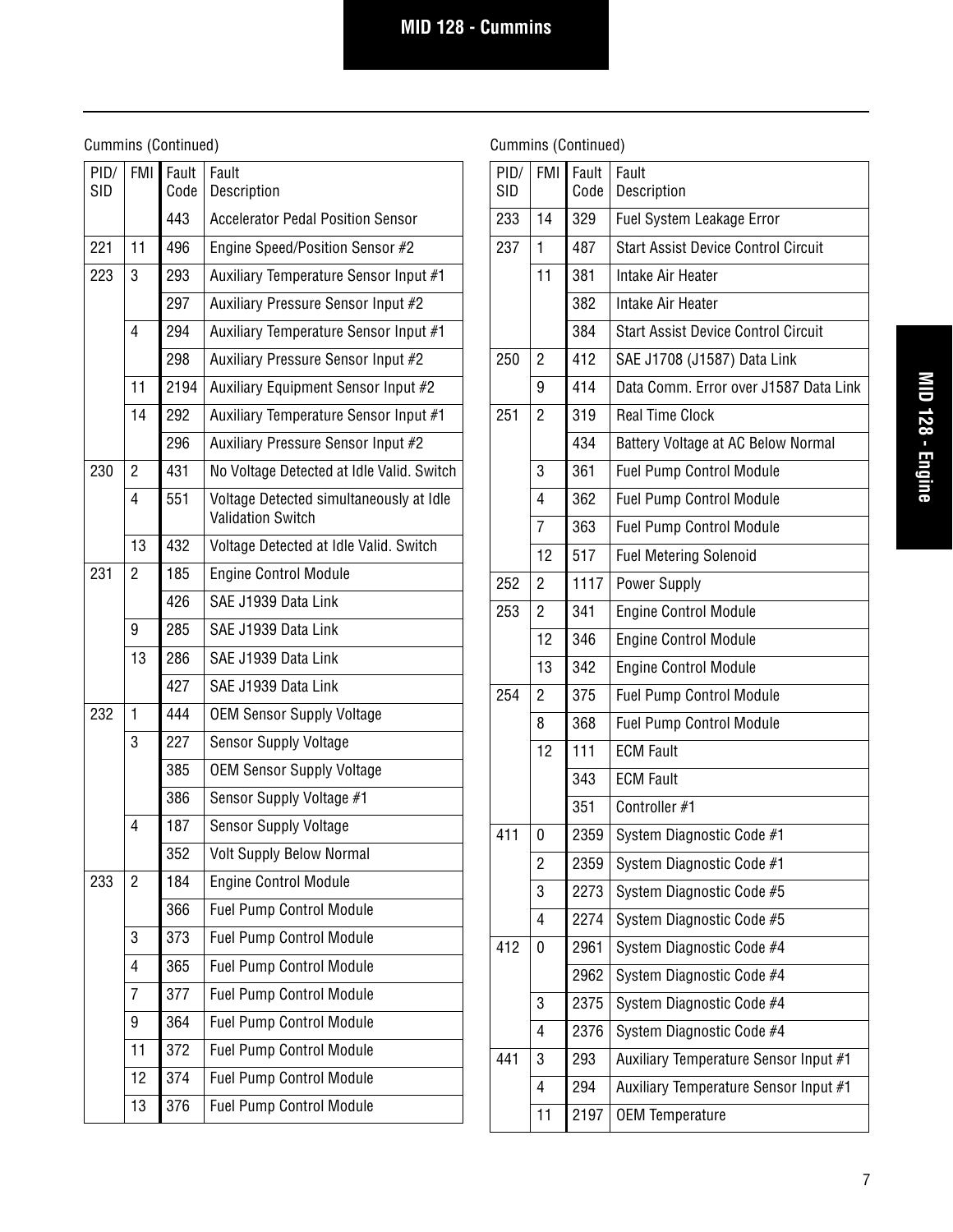| PID/<br><b>SID</b> | <b>FMI</b>     | Fault<br>Code | Fault<br>Description                                                |
|--------------------|----------------|---------------|---------------------------------------------------------------------|
|                    |                | 443           | <b>Accelerator Pedal Position Sensor</b>                            |
| 221                | 11             | 496           | Engine Speed/Position Sensor #2                                     |
| 223                | 3              | 293           | Auxiliary Temperature Sensor Input #1                               |
|                    |                | 297           | Auxiliary Pressure Sensor Input #2                                  |
|                    | $\overline{4}$ | 294           | Auxiliary Temperature Sensor Input #1                               |
|                    |                | 298           | Auxiliary Pressure Sensor Input #2                                  |
|                    | 11             | 2194          | Auxiliary Equipment Sensor Input #2                                 |
|                    | 14             | 292           | Auxiliary Temperature Sensor Input #1                               |
|                    |                | 296           | Auxiliary Pressure Sensor Input #2                                  |
| 230                | 2              | 431           | No Voltage Detected at Idle Valid. Switch                           |
|                    | 4              | 551           | Voltage Detected simultaneously at Idle<br><b>Validation Switch</b> |
|                    | 13             | 432           | Voltage Detected at Idle Valid. Switch                              |
| 231                | 2              | 185           | <b>Engine Control Module</b>                                        |
|                    |                | 426           | SAE J1939 Data Link                                                 |
|                    | 9              | 285           | SAE J1939 Data Link                                                 |
|                    | 13             | 286           | SAE J1939 Data Link                                                 |
|                    |                | 427           | SAE J1939 Data Link                                                 |
| 232                | 1              | 444           | <b>OEM Sensor Supply Voltage</b>                                    |
|                    | 3              | 227           | <b>Sensor Supply Voltage</b>                                        |
|                    |                | 385           | <b>OEM Sensor Supply Voltage</b>                                    |
|                    |                | 386           | Sensor Supply Voltage #1                                            |
|                    | 4              | 187           | <b>Sensor Supply Voltage</b>                                        |
|                    |                | 352           | <b>Volt Supply Below Normal</b>                                     |
| 233                | $\overline{c}$ | 184           | <b>Engine Control Module</b>                                        |
|                    |                | 366           | <b>Fuel Pump Control Module</b>                                     |
|                    | 3              | 373           | Fuel Pump Control Module                                            |
|                    | 4              | 365           | Fuel Pump Control Module                                            |
|                    | 7              | 377           | Fuel Pump Control Module                                            |
|                    | 9              | 364           | Fuel Pump Control Module                                            |
|                    | 11             | 372           | Fuel Pump Control Module                                            |
|                    | 12             | 374           | Fuel Pump Control Module                                            |
|                    | 13             | 376           | <b>Fuel Pump Control Module</b>                                     |

| PID/<br><b>SID</b> | <b>FMI</b> | Fault<br>Code | Fault<br>Description                       |
|--------------------|------------|---------------|--------------------------------------------|
| 233                | 14         | 329           | <b>Fuel System Leakage Error</b>           |
| 237                | 1          | 487           | <b>Start Assist Device Control Circuit</b> |
|                    | 11         | 381           | Intake Air Heater                          |
|                    |            | 382           | Intake Air Heater                          |
|                    |            | 384           | <b>Start Assist Device Control Circuit</b> |
| 250                | 2          | 412           | SAE J1708 (J1587) Data Link                |
|                    | 9          | 414           | Data Comm. Error over J1587 Data Link      |
| 251                | 2          | 319           | <b>Real Time Clock</b>                     |
|                    |            | 434           | Battery Voltage at AC Below Normal         |
|                    | 3          | 361           | <b>Fuel Pump Control Module</b>            |
|                    | 4          | 362           | <b>Fuel Pump Control Module</b>            |
|                    | 7          | 363           | <b>Fuel Pump Control Module</b>            |
|                    | 12         | 517           | <b>Fuel Metering Solenoid</b>              |
| 252                | 2          | 1117          | <b>Power Supply</b>                        |
| 253                | 2          | 341           | <b>Engine Control Module</b>               |
|                    | 12         | 346           | <b>Engine Control Module</b>               |
|                    | 13         | 342           | <b>Engine Control Module</b>               |
| 254                | 2          | 375           | <b>Fuel Pump Control Module</b>            |
|                    | 8          | 368           | <b>Fuel Pump Control Module</b>            |
|                    | 12         | 111           | <b>ECM Fault</b>                           |
|                    |            | 343           | <b>ECM Fault</b>                           |
|                    |            | 351           | Controller #1                              |
| 411                | 0          | 2359          | System Diagnostic Code #1                  |
|                    | 2          | 2359          | System Diagnostic Code #1                  |
|                    | 3          | 2273          | System Diagnostic Code #5                  |
|                    | 4          | 2274          | System Diagnostic Code #5                  |
| 412                | 0          | 2961          | System Diagnostic Code #4                  |
|                    |            | 2962          | System Diagnostic Code #4                  |
|                    | 3          | 2375          | System Diagnostic Code #4                  |
|                    | 4          | 2376          | System Diagnostic Code #4                  |
| 441                | 3          | 293           | Auxiliary Temperature Sensor Input #1      |
|                    | 4          | 294           | Auxiliary Temperature Sensor Input #1      |
|                    | 11         | 2197          | <b>OEM Temperature</b>                     |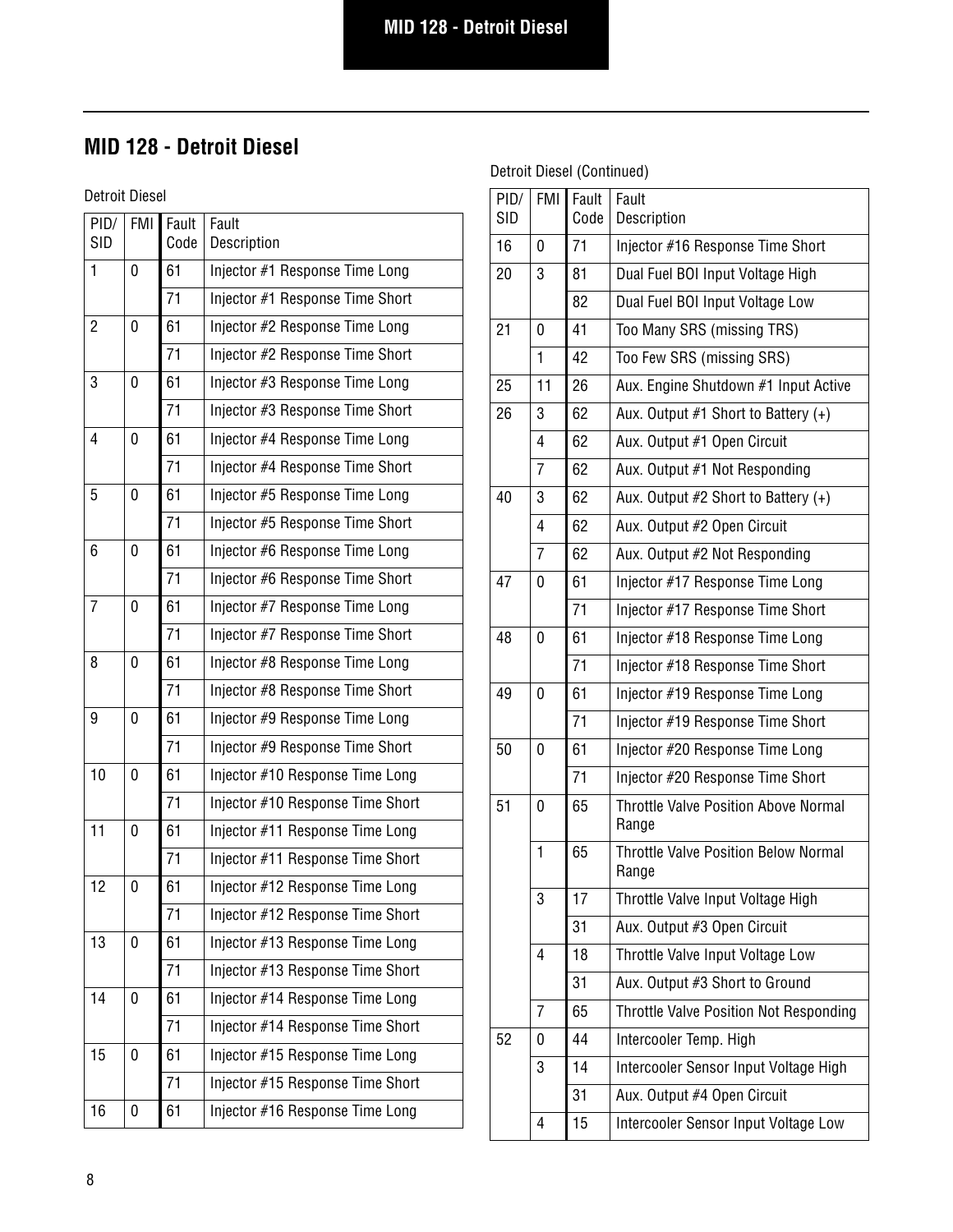# **MID 128 - Detroit Diesel**

Detroit Diesel

| PID/<br><b>SID</b> | <b>FMI</b> | Fault<br>Code | Fault<br>Description             |
|--------------------|------------|---------------|----------------------------------|
| 1                  | 0          | 61            | Injector #1 Response Time Long   |
|                    |            | 71            | Injector #1 Response Time Short  |
| $\overline{2}$     | 0          | 61            | Injector #2 Response Time Long   |
|                    |            | 71            | Injector #2 Response Time Short  |
| 3                  | 0          | 61            | Injector #3 Response Time Long   |
|                    |            | 71            | Injector #3 Response Time Short  |
| 4                  | 0          | 61            | Injector #4 Response Time Long   |
|                    |            | 71            | Injector #4 Response Time Short  |
| 5                  | 0          | 61            | Injector #5 Response Time Long   |
|                    |            | 71            | Injector #5 Response Time Short  |
| 6                  | 0          | 61            | Injector #6 Response Time Long   |
|                    |            | 71            | Injector #6 Response Time Short  |
| 7                  | 0          | 61            | Injector #7 Response Time Long   |
|                    |            | 71            | Injector #7 Response Time Short  |
| 8                  | 0          | 61            | Injector #8 Response Time Long   |
|                    |            | 71            | Injector #8 Response Time Short  |
| 9                  | 0          | 61            | Injector #9 Response Time Long   |
|                    |            | 71            | Injector #9 Response Time Short  |
| 10                 | 0          | 61            | Injector #10 Response Time Long  |
|                    |            | 71            | Injector #10 Response Time Short |
| 11                 | 0          | 61            | Injector #11 Response Time Long  |
|                    |            | 71            | Injector #11 Response Time Short |
| 12                 | 0          | 61            | Injector #12 Response Time Long  |
|                    |            | 71            | Injector #12 Response Time Short |
| 13                 | 0          | 61            | Injector #13 Response Time Long  |
|                    |            | 71            | Injector #13 Response Time Short |
| 14                 | 0          | 61            | Injector #14 Response Time Long  |
|                    |            | 71            | Injector #14 Response Time Short |
| 15                 | 0          | 61            | Injector #15 Response Time Long  |
|                    |            | 71            | Injector #15 Response Time Short |
| 16                 | 0          | 61            | Injector #16 Response Time Long  |

| PID/<br>SID | <b>FMI</b>     | Fault<br>Code | Fault<br>Description                                 |
|-------------|----------------|---------------|------------------------------------------------------|
| 16          | 0              | 71            | Injector #16 Response Time Short                     |
| 20          | 3              | 81            | Dual Fuel BOI Input Voltage High                     |
|             |                | 82            | Dual Fuel BOI Input Voltage Low                      |
| 21          | 0              | 41            | Too Many SRS (missing TRS)                           |
|             | $\mathbf{1}$   | 42            | Too Few SRS (missing SRS)                            |
| 25          | 11             | 26            | Aux. Engine Shutdown #1 Input Active                 |
| 26          | 3              | 62            | Aux. Output #1 Short to Battery (+)                  |
|             | $\overline{4}$ | 62            | Aux. Output #1 Open Circuit                          |
|             | $\overline{7}$ | 62            | Aux. Output #1 Not Responding                        |
| 40          | 3              | 62            | Aux. Output $#2$ Short to Battery $(+)$              |
|             | $\overline{4}$ | 62            | Aux. Output #2 Open Circuit                          |
|             | $\overline{7}$ | 62            | Aux. Output #2 Not Responding                        |
| 47          | 0              | 61            | Injector #17 Response Time Long                      |
|             |                | 71            | Injector #17 Response Time Short                     |
| 48          | 0              | 61            | Injector #18 Response Time Long                      |
|             |                | 71            | Injector #18 Response Time Short                     |
| 49          | 0              | 61            | Injector #19 Response Time Long                      |
|             |                | 71            | Injector #19 Response Time Short                     |
| 50          | 0              | 61            | Injector #20 Response Time Long                      |
|             |                | 71            | Injector #20 Response Time Short                     |
| 51          | 0              | 65            | <b>Throttle Valve Position Above Normal</b><br>Range |
|             | $\mathbf{1}$   | 65            | <b>Throttle Valve Position Below Normal</b><br>Range |
|             | 3              | 17            | Throttle Valve Input Voltage High                    |
|             |                | 31            | Aux. Output #3 Open Circuit                          |
|             | $\overline{4}$ | 18            | Throttle Valve Input Voltage Low                     |
|             |                | 31            | Aux. Output #3 Short to Ground                       |
|             | $\overline{7}$ | 65            | Throttle Valve Position Not Responding               |
| 52          | 0              | 44            | Intercooler Temp. High                               |
|             | 3              | 14            | Intercooler Sensor Input Voltage High                |
|             |                | 31            | Aux. Output #4 Open Circuit                          |
|             | 4              | 15            | Intercooler Sensor Input Voltage Low                 |
|             |                |               |                                                      |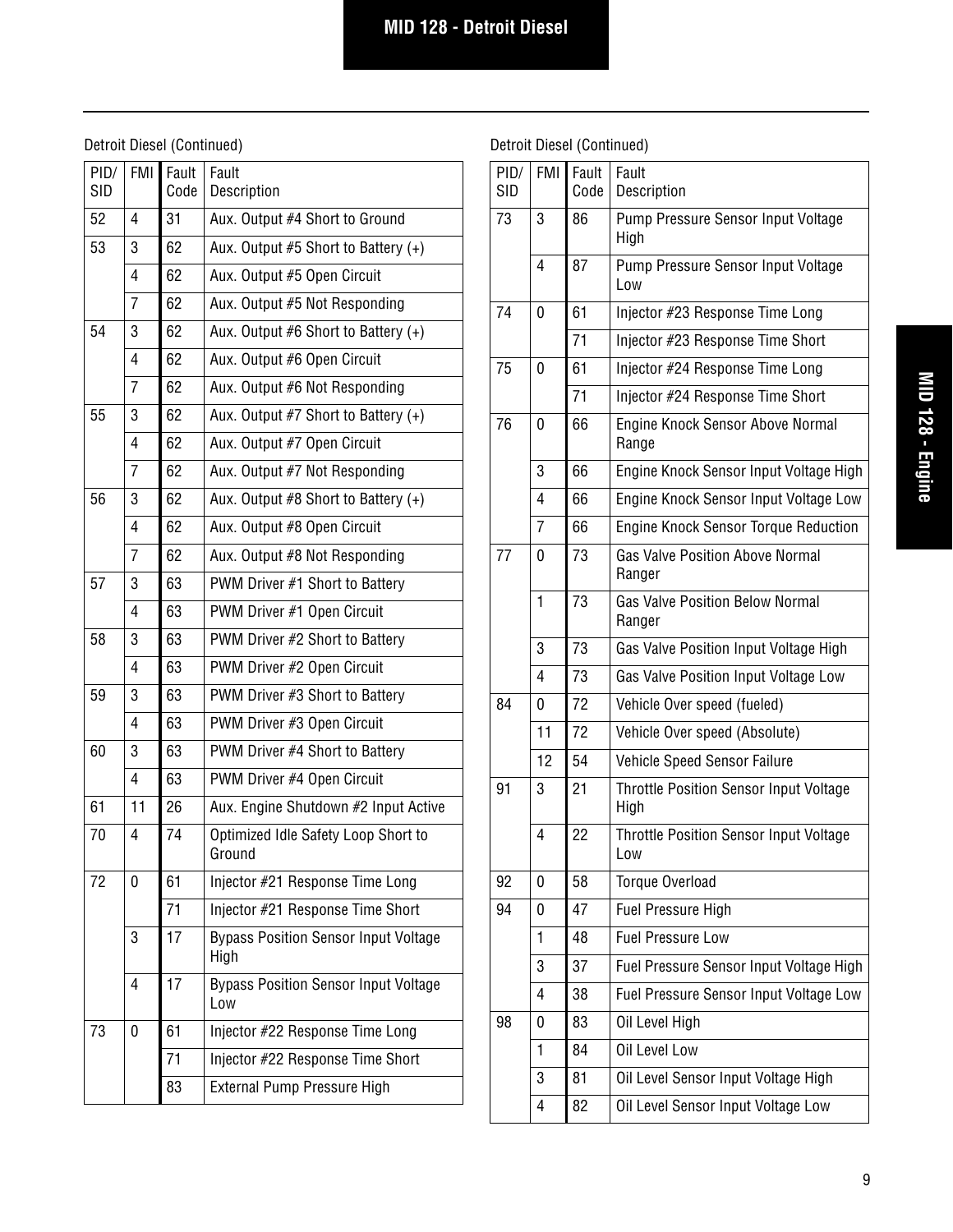## Detroit Diesel (Continued)

| 52<br>31<br>4<br>Aux. Output #4 Short to Ground<br>53<br>3<br>62<br>Aux. Output $#5$ Short to Battery $(+)$<br>62<br>4<br>Aux. Output #5 Open Circuit<br>7<br>62<br>Aux. Output #5 Not Responding<br>62<br>54<br>3<br>Aux. Output #6 Short to Battery $(+)$<br>62<br>4<br>Aux. Output #6 Open Circuit<br>62<br>7<br>Aux. Output #6 Not Responding<br>62<br>55<br>3<br>Aux. Output $#7$ Short to Battery $(+)$<br>62<br>4<br>Aux. Output #7 Open Circuit<br>62<br>7<br>Aux. Output #7 Not Responding<br>62<br>56<br>3<br>Aux. Output $#8$ Short to Battery $(+)$<br>62<br>4<br>Aux. Output #8 Open Circuit<br>62<br>7<br>Aux. Output #8 Not Responding |  |
|-------------------------------------------------------------------------------------------------------------------------------------------------------------------------------------------------------------------------------------------------------------------------------------------------------------------------------------------------------------------------------------------------------------------------------------------------------------------------------------------------------------------------------------------------------------------------------------------------------------------------------------------------------|--|
|                                                                                                                                                                                                                                                                                                                                                                                                                                                                                                                                                                                                                                                       |  |
|                                                                                                                                                                                                                                                                                                                                                                                                                                                                                                                                                                                                                                                       |  |
|                                                                                                                                                                                                                                                                                                                                                                                                                                                                                                                                                                                                                                                       |  |
|                                                                                                                                                                                                                                                                                                                                                                                                                                                                                                                                                                                                                                                       |  |
|                                                                                                                                                                                                                                                                                                                                                                                                                                                                                                                                                                                                                                                       |  |
|                                                                                                                                                                                                                                                                                                                                                                                                                                                                                                                                                                                                                                                       |  |
|                                                                                                                                                                                                                                                                                                                                                                                                                                                                                                                                                                                                                                                       |  |
|                                                                                                                                                                                                                                                                                                                                                                                                                                                                                                                                                                                                                                                       |  |
|                                                                                                                                                                                                                                                                                                                                                                                                                                                                                                                                                                                                                                                       |  |
|                                                                                                                                                                                                                                                                                                                                                                                                                                                                                                                                                                                                                                                       |  |
|                                                                                                                                                                                                                                                                                                                                                                                                                                                                                                                                                                                                                                                       |  |
|                                                                                                                                                                                                                                                                                                                                                                                                                                                                                                                                                                                                                                                       |  |
|                                                                                                                                                                                                                                                                                                                                                                                                                                                                                                                                                                                                                                                       |  |
| 63<br>57<br>3<br>PWM Driver #1 Short to Battery                                                                                                                                                                                                                                                                                                                                                                                                                                                                                                                                                                                                       |  |
| 63<br>4<br>PWM Driver #1 Open Circuit                                                                                                                                                                                                                                                                                                                                                                                                                                                                                                                                                                                                                 |  |
| 63<br>58<br>3<br>PWM Driver #2 Short to Battery                                                                                                                                                                                                                                                                                                                                                                                                                                                                                                                                                                                                       |  |
| 63<br>4<br>PWM Driver #2 Open Circuit                                                                                                                                                                                                                                                                                                                                                                                                                                                                                                                                                                                                                 |  |
| 63<br>59<br>3<br>PWM Driver #3 Short to Battery                                                                                                                                                                                                                                                                                                                                                                                                                                                                                                                                                                                                       |  |
| 63<br>4<br>PWM Driver #3 Open Circuit                                                                                                                                                                                                                                                                                                                                                                                                                                                                                                                                                                                                                 |  |
| 63<br>60<br>3<br>PWM Driver #4 Short to Battery                                                                                                                                                                                                                                                                                                                                                                                                                                                                                                                                                                                                       |  |
| 63<br>4<br>PWM Driver #4 Open Circuit                                                                                                                                                                                                                                                                                                                                                                                                                                                                                                                                                                                                                 |  |
| 61<br>11<br>26<br>Aux. Engine Shutdown #2 Input Active                                                                                                                                                                                                                                                                                                                                                                                                                                                                                                                                                                                                |  |
| 74<br>Optimized Idle Safety Loop Short to<br>70<br>4<br>Ground                                                                                                                                                                                                                                                                                                                                                                                                                                                                                                                                                                                        |  |
| 72<br>61<br>Injector #21 Response Time Long<br>0                                                                                                                                                                                                                                                                                                                                                                                                                                                                                                                                                                                                      |  |
| 71<br>Injector #21 Response Time Short                                                                                                                                                                                                                                                                                                                                                                                                                                                                                                                                                                                                                |  |
| 17<br>3<br><b>Bypass Position Sensor Input Voltage</b><br>High                                                                                                                                                                                                                                                                                                                                                                                                                                                                                                                                                                                        |  |
| 17<br><b>Bypass Position Sensor Input Voltage</b><br>4<br>Low                                                                                                                                                                                                                                                                                                                                                                                                                                                                                                                                                                                         |  |
| 73<br>61<br>Injector #22 Response Time Long<br>0                                                                                                                                                                                                                                                                                                                                                                                                                                                                                                                                                                                                      |  |
| 71<br>Injector #22 Response Time Short                                                                                                                                                                                                                                                                                                                                                                                                                                                                                                                                                                                                                |  |
| 83<br><b>External Pump Pressure High</b>                                                                                                                                                                                                                                                                                                                                                                                                                                                                                                                                                                                                              |  |

| PID/<br><b>SID</b> | <b>FMI</b> | Fault<br>Code | Fault<br>Description                                  |
|--------------------|------------|---------------|-------------------------------------------------------|
| 73                 | 3          | 86            | Pump Pressure Sensor Input Voltage<br>High            |
|                    | 4          | 87            | Pump Pressure Sensor Input Voltage<br>Low             |
| 74                 | 0          | 61            | Injector #23 Response Time Long                       |
|                    |            | 71            | Injector #23 Response Time Short                      |
| 75                 | 0          | 61            | Injector #24 Response Time Long                       |
|                    |            | 71            | Injector #24 Response Time Short                      |
| 76                 | 0          | 66            | Engine Knock Sensor Above Normal<br>Range             |
|                    | 3          | 66            | Engine Knock Sensor Input Voltage High                |
|                    | 4          | 66            | Engine Knock Sensor Input Voltage Low                 |
|                    | 7          | 66            | <b>Engine Knock Sensor Torque Reduction</b>           |
| 77                 | 0          | 73            | <b>Gas Valve Position Above Normal</b><br>Ranger      |
|                    | 1          | 73            | <b>Gas Valve Position Below Normal</b><br>Ranger      |
|                    | 3          | 73            | Gas Valve Position Input Voltage High                 |
|                    | 4          | 73            | Gas Valve Position Input Voltage Low                  |
| 84                 | 0          | 72            | Vehicle Over speed (fueled)                           |
|                    | 11         | 72            | Vehicle Over speed (Absolute)                         |
|                    | 12         | 54            | <b>Vehicle Speed Sensor Failure</b>                   |
| 91                 | 3          | 21            | <b>Throttle Position Sensor Input Voltage</b><br>High |
|                    | 4          | 22            | <b>Throttle Position Sensor Input Voltage</b><br>Low  |
| 92                 | 0          | 58            | Torque Overload                                       |
| 94                 | 0          | 47            | <b>Fuel Pressure High</b>                             |
|                    | 1          | 48            | <b>Fuel Pressure Low</b>                              |
|                    | 3          | 37            | Fuel Pressure Sensor Input Voltage High               |
|                    | 4          | 38            | Fuel Pressure Sensor Input Voltage Low                |
| 98                 | 0          | 83            | Oil Level High                                        |
|                    | 1          | 84            | Oil Level Low                                         |
|                    | 3          | 81            | Oil Level Sensor Input Voltage High                   |
|                    | 4          | 82            | Oil Level Sensor Input Voltage Low                    |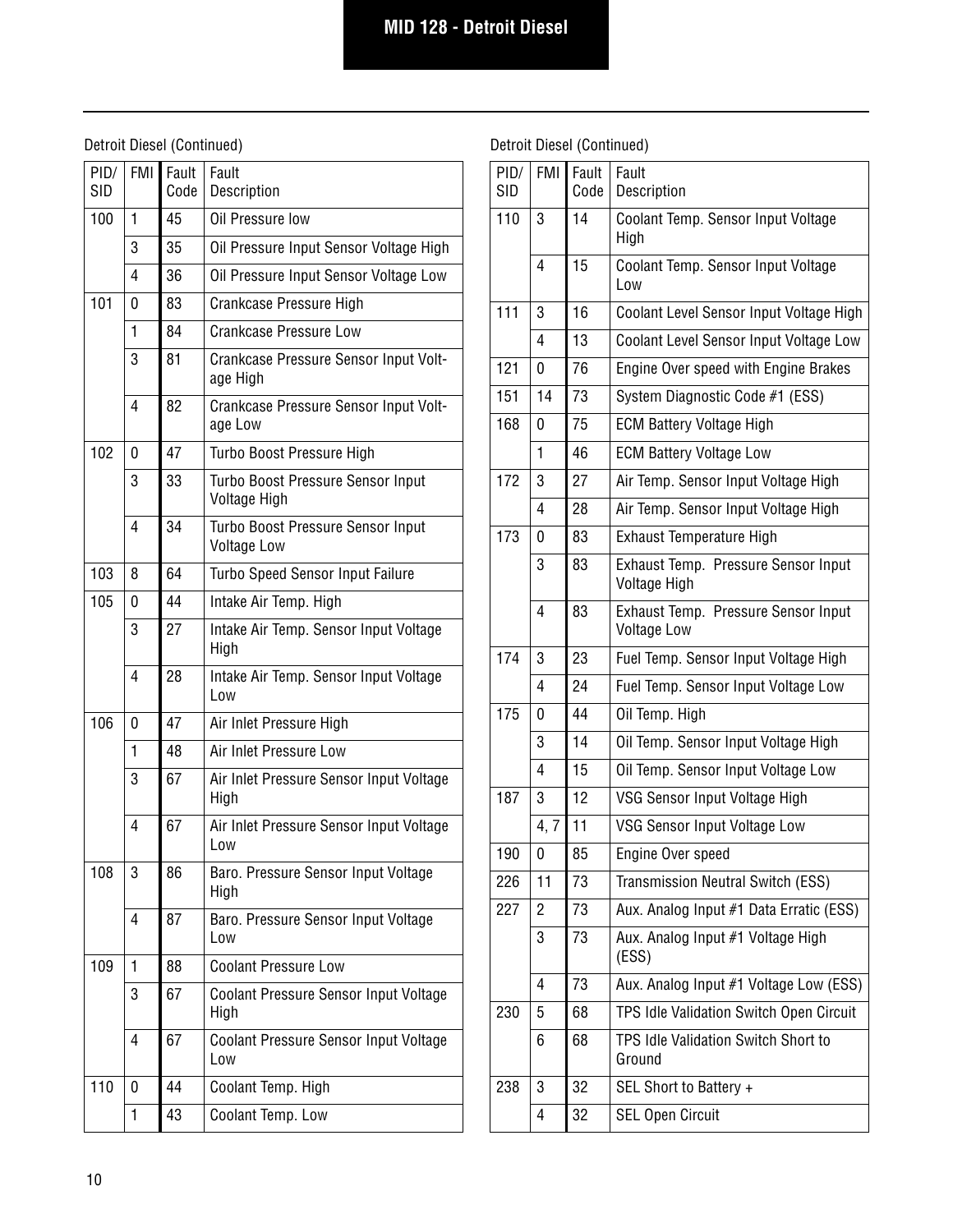## Detroit Diesel (Continued)

| PID/<br><b>SID</b> | <b>FMI</b> | Fault<br>Code | Fault<br>Description                                     |
|--------------------|------------|---------------|----------------------------------------------------------|
| 100                | 1          | 45            | Oil Pressure low                                         |
|                    | 3          | 35            | Oil Pressure Input Sensor Voltage High                   |
|                    | 4          | 36            | Oil Pressure Input Sensor Voltage Low                    |
| 101                | 0          | 83            | Crankcase Pressure High                                  |
|                    | 1          | 84            | Crankcase Pressure Low                                   |
|                    | 3          | 81            | <b>Crankcase Pressure Sensor Input Volt-</b><br>age High |
|                    | 4          | 82            | Crankcase Pressure Sensor Input Volt-<br>age Low         |
| 102                | 0          | 47            | Turbo Boost Pressure High                                |
|                    | 3          | 33            | Turbo Boost Pressure Sensor Input<br>Voltage High        |
|                    | 4          | 34            | Turbo Boost Pressure Sensor Input<br><b>Voltage Low</b>  |
| 103                | 8          | 64            | <b>Turbo Speed Sensor Input Failure</b>                  |
| 105                | 0          | 44            | Intake Air Temp. High                                    |
|                    | 3          | 27            | Intake Air Temp. Sensor Input Voltage<br>High            |
|                    | 4          | 28            | Intake Air Temp. Sensor Input Voltage<br>Low             |
| 106                | 0          | 47            | Air Inlet Pressure High                                  |
|                    | 1          | 48            | Air Inlet Pressure Low                                   |
|                    | 3          | 67            | Air Inlet Pressure Sensor Input Voltage<br>High          |
|                    | 4          | 67            | Air Inlet Pressure Sensor Input Voltage<br>Low           |
| 108                | 3          | 86            | Baro. Pressure Sensor Input Voltage<br>High              |
|                    | 4          | 87            | Baro. Pressure Sensor Input Voltage<br>Low               |
| 109                | 1          | 88            | <b>Coolant Pressure Low</b>                              |
|                    | 3          | 67            | <b>Coolant Pressure Sensor Input Voltage</b><br>High     |
|                    | 4          | 67            | <b>Coolant Pressure Sensor Input Voltage</b><br>Low      |
| 110                | 0          | 44            | Coolant Temp. High                                       |
|                    | 1          | 43            | Coolant Temp. Low                                        |
|                    |            |               |                                                          |

| PID/<br><b>SID</b> | <b>FMI</b> | Fault<br>Code | Fault<br>Description                                      |
|--------------------|------------|---------------|-----------------------------------------------------------|
| 110                | 3          | 14            | Coolant Temp. Sensor Input Voltage<br>High                |
|                    | 4          | 15            | Coolant Temp. Sensor Input Voltage<br>Low                 |
| 111                | 3          | 16            | Coolant Level Sensor Input Voltage High                   |
|                    | 4          | 13            | Coolant Level Sensor Input Voltage Low                    |
| 121                | 0          | 76            | Engine Over speed with Engine Brakes                      |
| 151                | 14         | 73            | System Diagnostic Code #1 (ESS)                           |
| 168                | 0          | 75            | <b>ECM Battery Voltage High</b>                           |
|                    | 1          | 46            | <b>ECM Battery Voltage Low</b>                            |
| 172                | 3          | 27            | Air Temp. Sensor Input Voltage High                       |
|                    | 4          | 28            | Air Temp. Sensor Input Voltage High                       |
| 173                | 0          | 83            | <b>Exhaust Temperature High</b>                           |
|                    | 3          | 83            | Exhaust Temp. Pressure Sensor Input<br>Voltage High       |
|                    | 4          | 83            | Exhaust Temp. Pressure Sensor Input<br><b>Voltage Low</b> |
| 174                | 3          | 23            | Fuel Temp. Sensor Input Voltage High                      |
|                    | 4          | 24            | Fuel Temp. Sensor Input Voltage Low                       |
| 175                | 0          | 44            | Oil Temp. High                                            |
|                    | 3          | 14            | Oil Temp. Sensor Input Voltage High                       |
|                    | 4          | 15            | Oil Temp. Sensor Input Voltage Low                        |
| 187                | 3          | 12            | VSG Sensor Input Voltage High                             |
|                    | 4, 7       | 11            | VSG Sensor Input Voltage Low                              |
| 190                | 0          | 85            | Engine Over speed                                         |
| 226                | 11         | 73            | Transmission Neutral Switch (ESS)                         |
| 227                | 2          | 73            | Aux. Analog Input #1 Data Erratic (ESS)                   |
|                    | 3          | 73            | Aux. Analog Input #1 Voltage High<br>(ESS)                |
|                    | 4          | 73            | Aux. Analog Input #1 Voltage Low (ESS)                    |
| 230                | 5          | 68            | TPS Idle Validation Switch Open Circuit                   |
|                    | 6          | 68            | TPS Idle Validation Switch Short to<br>Ground             |
| 238                | 3          | 32            | SEL Short to Battery +                                    |
|                    | 4          | 32            | <b>SEL Open Circuit</b>                                   |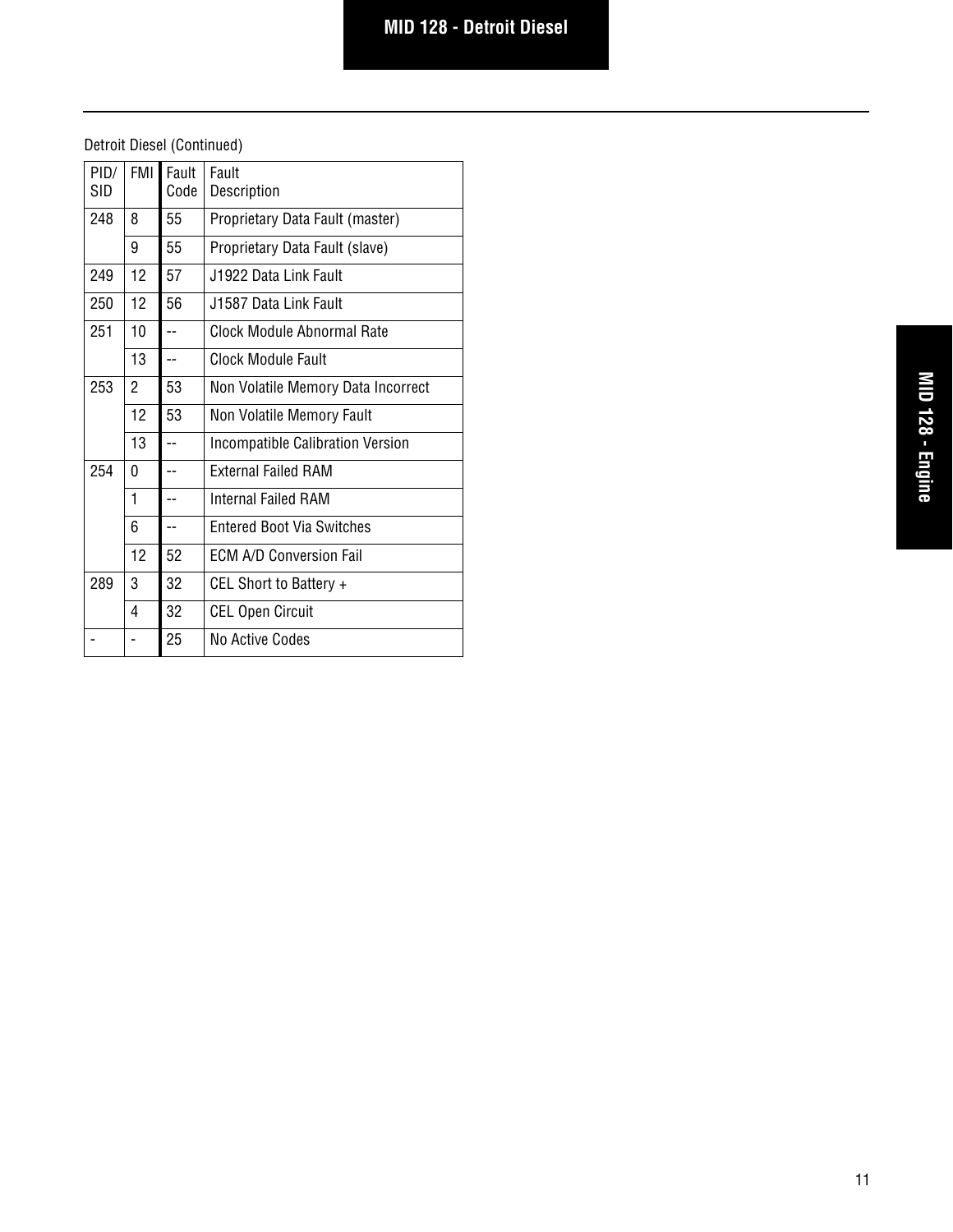| PID/<br><b>SID</b> | FMI <sup>I</sup> | Fault<br>Code  | Fault<br>Description                    |
|--------------------|------------------|----------------|-----------------------------------------|
| 248                | 8                | 55             | Proprietary Data Fault (master)         |
|                    | 9                | 55             | Proprietary Data Fault (slave)          |
| 249                | 12               | 57             | J1922 Data Link Fault                   |
| 250                | 12               | 56             | J1587 Data Link Fault                   |
| 251                | 10               | $=$            | Clock Module Abnormal Rate              |
|                    | 13               | $\overline{a}$ | Clock Module Fault                      |
| 253                | $\overline{2}$   | 53             | Non Volatile Memory Data Incorrect      |
|                    | 12               | 53             | Non Volatile Memory Fault               |
|                    | 13               | $-$            | <b>Incompatible Calibration Version</b> |
| 254                | 0                |                | <b>External Failed RAM</b>              |
|                    | 1                | --             | Internal Failed RAM                     |
|                    | 6                |                | <b>Fntered Boot Via Switches</b>        |
|                    | 12               | 52             | <b>FCM A/D Conversion Fail</b>          |
| 289                | 3                | 32             | CEL Short to Battery +                  |
|                    | 4                | 32             | <b>CEL Open Circuit</b>                 |
|                    |                  | 25             | No Active Codes                         |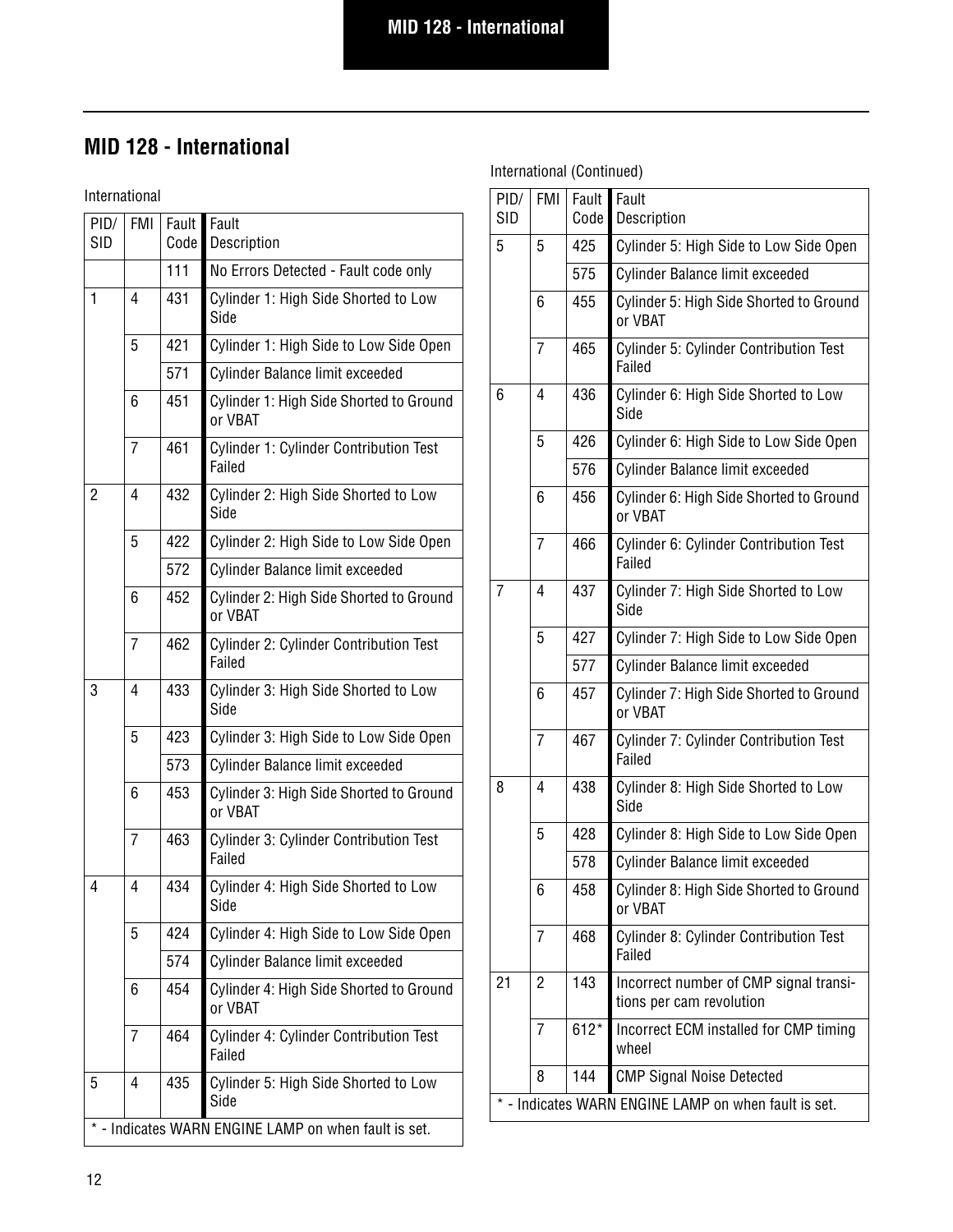# **MID 128 - International**

International

| PID/<br><b>SID</b>                                   | <b>FMI</b>     | Fault<br>Code | Fault<br>Description                                    |  |
|------------------------------------------------------|----------------|---------------|---------------------------------------------------------|--|
|                                                      |                | 111           | No Errors Detected - Fault code only                    |  |
| 1                                                    | $\overline{4}$ | 431           | Cylinder 1: High Side Shorted to Low<br>Side            |  |
|                                                      | 5              | 421           | Cylinder 1: High Side to Low Side Open                  |  |
|                                                      |                | 571           | Cylinder Balance limit exceeded                         |  |
|                                                      | 6              | 451           | Cylinder 1: High Side Shorted to Ground<br>or VBAT      |  |
|                                                      | $\overline{7}$ | 461           | Cylinder 1: Cylinder Contribution Test<br>Failed        |  |
| 2                                                    | 4              | 432           | Cylinder 2: High Side Shorted to Low<br>Side            |  |
|                                                      | 5              | 422           | Cylinder 2: High Side to Low Side Open                  |  |
|                                                      |                | 572           | Cylinder Balance limit exceeded                         |  |
|                                                      | 6              | 452           | Cylinder 2: High Side Shorted to Ground<br>or VBAT      |  |
|                                                      | $\overline{7}$ | 462           | Cylinder 2: Cylinder Contribution Test<br>Failed        |  |
| 3                                                    | $\overline{4}$ | 433           | Cylinder 3: High Side Shorted to Low<br>Side            |  |
|                                                      | 5              | 423           | Cylinder 3: High Side to Low Side Open                  |  |
|                                                      |                | 573           | Cylinder Balance limit exceeded                         |  |
|                                                      | 6              | 453           | Cylinder 3: High Side Shorted to Ground<br>or VBAT      |  |
|                                                      | $\overline{7}$ | 463           | <b>Cylinder 3: Cylinder Contribution Test</b><br>Failed |  |
| 4                                                    | 4              | 434           | Cylinder 4: High Side Shorted to Low<br>Side            |  |
|                                                      | 5              | 424           | Cylinder 4: High Side to Low Side Open                  |  |
|                                                      |                | 574           | Cylinder Balance limit exceeded                         |  |
|                                                      | 6              | 454           | Cylinder 4: High Side Shorted to Ground<br>or VBAT      |  |
|                                                      | $\overline{7}$ | 464           | Cylinder 4: Cylinder Contribution Test<br>Failed        |  |
| 5                                                    | 4              | 435           | Cylinder 5: High Side Shorted to Low<br>Side            |  |
| * - Indicates WARN ENGINE LAMP on when fault is set. |                |               |                                                         |  |

| PID/<br><b>SID</b>                                   | <b>FMI</b> | Fault<br>Code | Fault<br>Description                                               |  |
|------------------------------------------------------|------------|---------------|--------------------------------------------------------------------|--|
| 5                                                    | 5          | 425           | Cylinder 5: High Side to Low Side Open                             |  |
|                                                      |            | 575           | Cylinder Balance limit exceeded                                    |  |
|                                                      | 6          | 455           | Cylinder 5: High Side Shorted to Ground<br>or VBAT                 |  |
|                                                      | 7          | 465           | Cylinder 5: Cylinder Contribution Test<br>Failed                   |  |
| 6                                                    | 4          | 436           | Cylinder 6: High Side Shorted to Low<br>Side                       |  |
|                                                      | 5          | 426           | Cylinder 6: High Side to Low Side Open                             |  |
|                                                      |            | 576           | Cylinder Balance limit exceeded                                    |  |
|                                                      | 6          | 456           | Cylinder 6: High Side Shorted to Ground<br>or VBAT                 |  |
|                                                      | 7          | 466           | Cylinder 6: Cylinder Contribution Test<br>Failed                   |  |
| 7                                                    | 4          | 437           | Cylinder 7: High Side Shorted to Low<br>Side                       |  |
|                                                      | 5          | 427           | Cylinder 7: High Side to Low Side Open                             |  |
|                                                      |            | 577           | Cylinder Balance limit exceeded                                    |  |
|                                                      | 6          | 457           | Cylinder 7: High Side Shorted to Ground<br>or VBAT                 |  |
|                                                      | 7          | 467           | Cylinder 7: Cylinder Contribution Test<br>Failed                   |  |
| 8                                                    | 4          | 438           | Cylinder 8: High Side Shorted to Low<br>Side                       |  |
|                                                      | 5          | 428           | Cylinder 8: High Side to Low Side Open                             |  |
|                                                      |            | 578           | Cylinder Balance limit exceeded                                    |  |
|                                                      | 6          | 458           | Cylinder 8: High Side Shorted to Ground<br>or VBAT                 |  |
|                                                      | 7          | 468           | Cylinder 8: Cylinder Contribution Test<br>Failed                   |  |
| 21                                                   | 2          | 143           | Incorrect number of CMP signal transi-<br>tions per cam revolution |  |
|                                                      | 7          | $612*$        | Incorrect ECM installed for CMP timing<br>wheel                    |  |
|                                                      | 8          | 144           | <b>CMP Signal Noise Detected</b>                                   |  |
| * - Indicates WARN ENGINE LAMP on when fault is set. |            |               |                                                                    |  |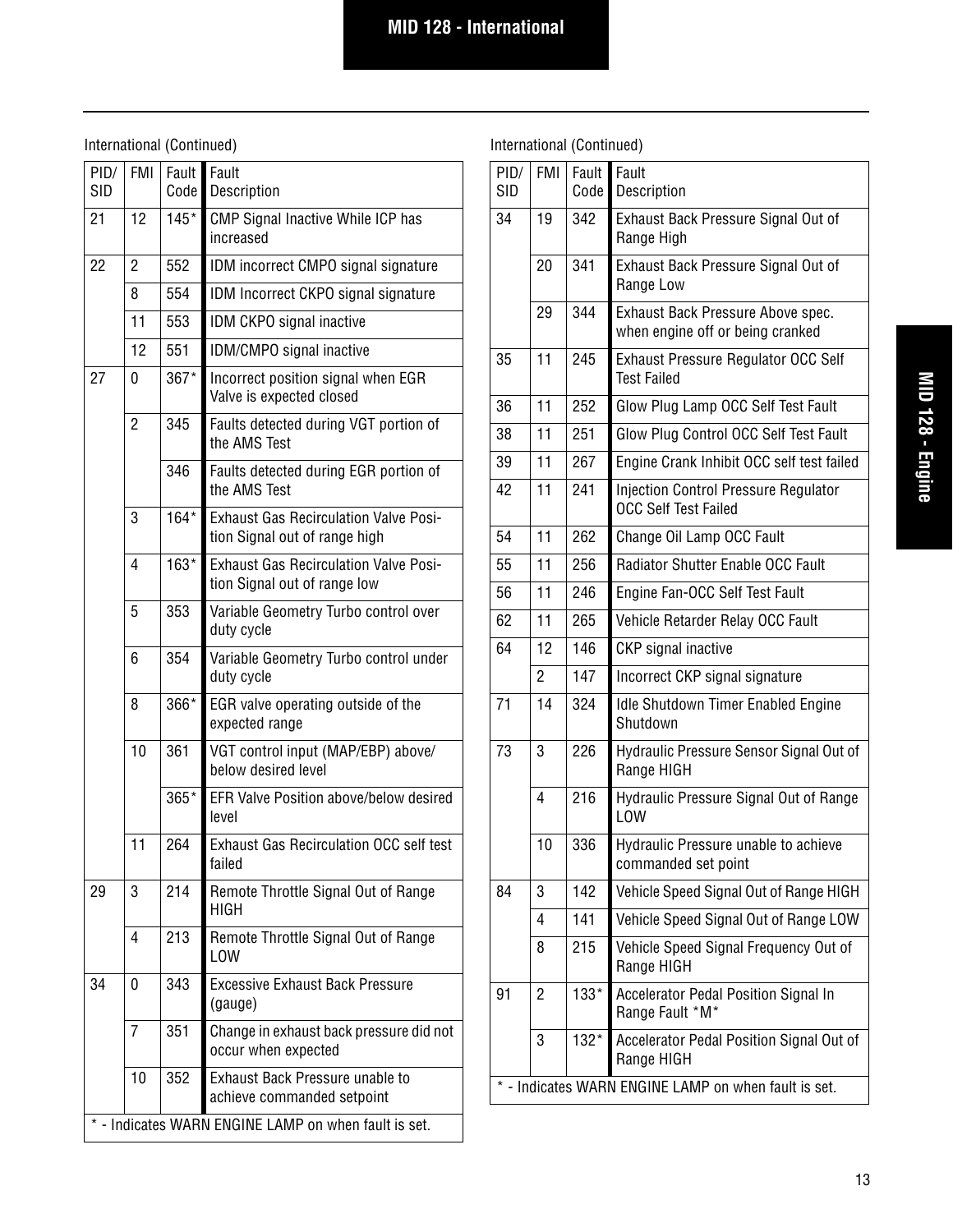International (Continued)

| PID/<br><b>SID</b>                               | <b>FMI</b>     | Fault<br>Code | Fault<br>Description                                                          |  |
|--------------------------------------------------|----------------|---------------|-------------------------------------------------------------------------------|--|
| 21                                               | 12             | $145*$        | CMP Signal Inactive While ICP has<br>increased                                |  |
| 22                                               | 2              | 552           | IDM incorrect CMPO signal signature                                           |  |
|                                                  | 8              | 554           | IDM Incorrect CKPO signal signature                                           |  |
|                                                  | 11             | 553           | IDM CKPO signal inactive                                                      |  |
|                                                  | 12             | 551           | IDM/CMPO signal inactive                                                      |  |
| 27                                               | 0              | 367*          | Incorrect position signal when EGR<br>Valve is expected closed                |  |
|                                                  | $\overline{c}$ | 345           | Faults detected during VGT portion of<br>the AMS Test                         |  |
|                                                  |                | 346           | Faults detected during EGR portion of<br>the AMS Test                         |  |
|                                                  | 3              | $164*$        | <b>Exhaust Gas Recirculation Valve Posi-</b><br>tion Signal out of range high |  |
|                                                  | 4              | 163*          | <b>Exhaust Gas Recirculation Valve Posi-</b><br>tion Signal out of range low  |  |
|                                                  | 5              | 353           | Variable Geometry Turbo control over<br>duty cycle                            |  |
|                                                  | 6              | 354           | Variable Geometry Turbo control under<br>duty cycle                           |  |
|                                                  | 8              | 366*          | EGR valve operating outside of the<br>expected range                          |  |
|                                                  | 10             | 361           | VGT control input (MAP/EBP) above/<br>below desired level                     |  |
|                                                  |                | 365*          | EFR Valve Position above/below desired<br>level                               |  |
|                                                  | 11             | 264           | <b>Exhaust Gas Recirculation OCC self test</b><br>failed                      |  |
| 29                                               | 3              | 214           | Remote Throttle Signal Out of Range<br><b>HIGH</b>                            |  |
|                                                  | 4              | 213           | Remote Throttle Signal Out of Range<br>LOW                                    |  |
| 34                                               | 0              | 343           | <b>Excessive Exhaust Back Pressure</b><br>(gauge)                             |  |
|                                                  | 7              | 351           | Change in exhaust back pressure did not<br>occur when expected                |  |
|                                                  | 10             | 352           | Exhaust Back Pressure unable to<br>achieve commanded setpoint                 |  |
| Indicates WARN ENGINE LAMP on when fault is set. |                |               |                                                                               |  |

| PID/<br><b>SID</b> | <b>FMI</b>     | Fault<br>Code | Fault<br>Description                                                       |
|--------------------|----------------|---------------|----------------------------------------------------------------------------|
| 34                 | 19             | 342           | Exhaust Back Pressure Signal Out of<br>Range High                          |
|                    | 20             | 341           | Exhaust Back Pressure Signal Out of<br>Range Low                           |
|                    | 29             | 344           | Exhaust Back Pressure Above spec.<br>when engine off or being cranked      |
| 35                 | 11             | 245           | <b>Exhaust Pressure Regulator OCC Self</b><br><b>Test Failed</b>           |
| 36                 | 11             | 252           | Glow Plug Lamp OCC Self Test Fault                                         |
| 38                 | 11             | 251           | Glow Plug Control OCC Self Test Fault                                      |
| 39                 | 11             | 267           | Engine Crank Inhibit OCC self test failed                                  |
| 42                 | 11             | 241           | <b>Injection Control Pressure Regulator</b><br><b>OCC Self Test Failed</b> |
| 54                 | 11             | 262           | Change Oil Lamp OCC Fault                                                  |
| 55                 | 11             | 256           | Radiator Shutter Enable OCC Fault                                          |
| 56                 | 11             | 246           | Engine Fan-OCC Self Test Fault                                             |
| 62                 | 11             | 265           | Vehicle Retarder Relay OCC Fault                                           |
| 64                 | 12             | 146           | CKP signal inactive                                                        |
|                    | $\overline{2}$ | 147           | Incorrect CKP signal signature                                             |
| 71                 | 14             | 324           | Idle Shutdown Timer Enabled Engine<br>Shutdown                             |
| 73                 | 3              | 226           | Hydraulic Pressure Sensor Signal Out of<br>Range HIGH                      |
|                    | $\overline{4}$ | 216           | Hydraulic Pressure Signal Out of Range<br>LOW                              |
|                    | 10             | 336           | Hydraulic Pressure unable to achieve<br>commanded set point                |
| 84                 | 3              | 142           | Vehicle Speed Signal Out of Range HIGH                                     |
|                    | 4              | 141           | Vehicle Speed Signal Out of Range LOW                                      |
|                    | 8              | 215           | Vehicle Speed Signal Frequency Out of<br>Range HIGH                        |
| 91                 | $\overline{2}$ | $133*$        | <b>Accelerator Pedal Position Signal In</b><br>Range Fault *M*             |
|                    | 3              | 132*          | Accelerator Pedal Position Signal Out of<br>Range HIGH                     |
|                    |                |               | * - Indicates WARN ENGINE LAMP on when fault is set.                       |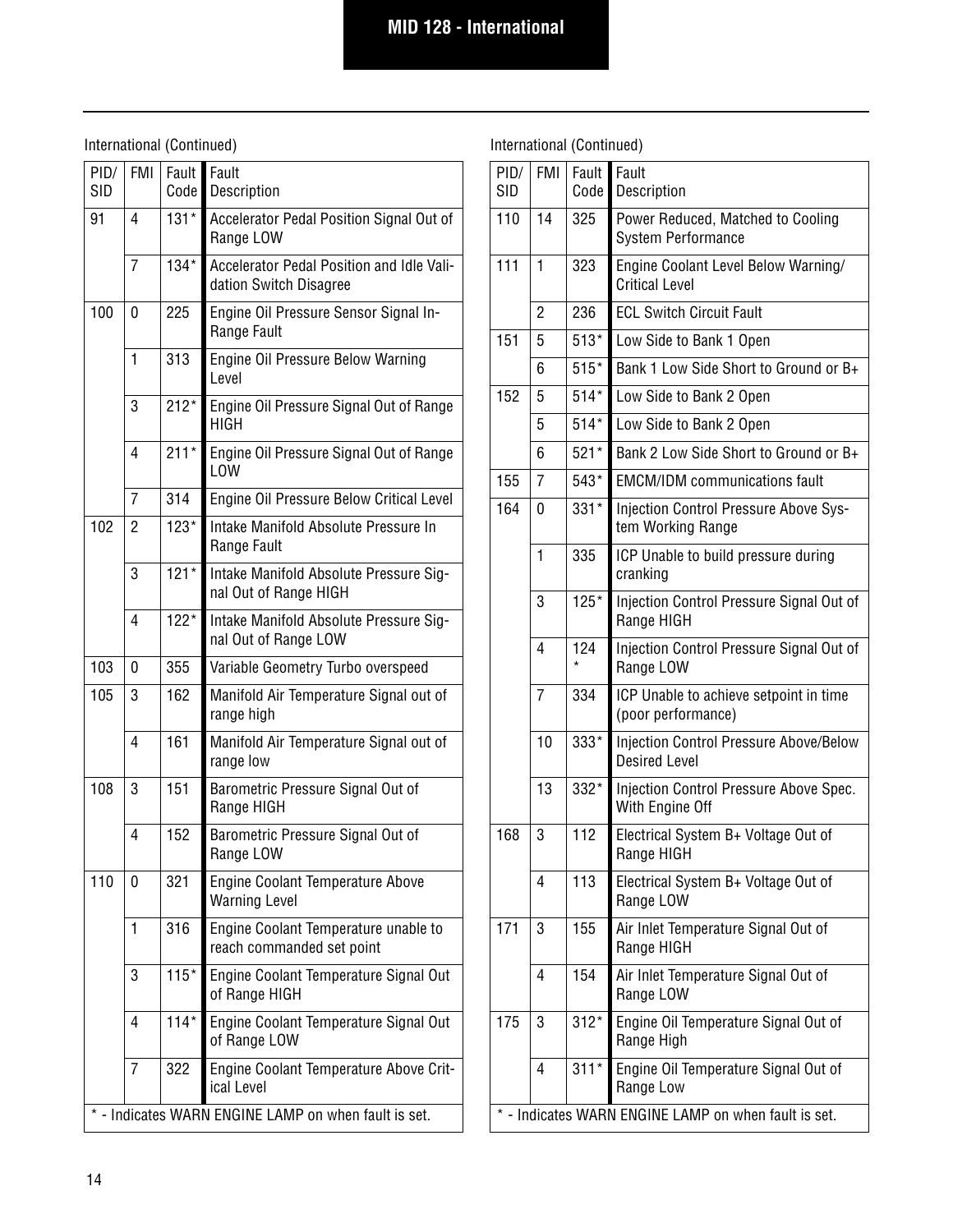International (Continued)

| PID/<br><b>SID</b> | <b>FMI</b>                                         | Fault<br>Code | Fault<br>Description                                                |  |  |
|--------------------|----------------------------------------------------|---------------|---------------------------------------------------------------------|--|--|
| 91                 | 4                                                  | $131*$        | Accelerator Pedal Position Signal Out of<br>Range LOW               |  |  |
|                    | 7                                                  | $134*$        | Accelerator Pedal Position and Idle Vali-<br>dation Switch Disagree |  |  |
| 100                | 0                                                  | 225           | Engine Oil Pressure Sensor Signal In-<br>Range Fault                |  |  |
|                    | 1                                                  | 313           | Engine Oil Pressure Below Warning<br>Level                          |  |  |
|                    | 3                                                  | $212*$        | Engine Oil Pressure Signal Out of Range<br>HIGH                     |  |  |
|                    | 4                                                  | $211*$        | Engine Oil Pressure Signal Out of Range<br>LOW                      |  |  |
|                    | 7                                                  | 314           | Engine Oil Pressure Below Critical Level                            |  |  |
| 102                | 2                                                  | $123*$        | Intake Manifold Absolute Pressure In<br>Range Fault                 |  |  |
|                    | 3                                                  | $121*$        | Intake Manifold Absolute Pressure Sig-<br>nal Out of Range HIGH     |  |  |
|                    | 4                                                  | $122*$        | Intake Manifold Absolute Pressure Sig-<br>nal Out of Range LOW      |  |  |
| 103                | 0                                                  | 355           | Variable Geometry Turbo overspeed                                   |  |  |
| 105                | 3                                                  | 162           | Manifold Air Temperature Signal out of<br>range high                |  |  |
|                    | 4                                                  | 161           | Manifold Air Temperature Signal out of<br>range low                 |  |  |
| 108                | 3                                                  | 151           | Barometric Pressure Signal Out of<br>Range HIGH                     |  |  |
|                    | 4                                                  | 152           | Barometric Pressure Signal Out of<br>Range LOW                      |  |  |
| 110                | 0                                                  | 321           | Engine Coolant Temperature Above<br><b>Warning Level</b>            |  |  |
|                    | 1                                                  | 316           | Engine Coolant Temperature unable to<br>reach commanded set point   |  |  |
|                    | 3                                                  | $115*$        | Engine Coolant Temperature Signal Out<br>of Range HIGH              |  |  |
|                    | 4                                                  | $114*$        | Engine Coolant Temperature Signal Out<br>of Range LOW               |  |  |
|                    | 7                                                  | 322           | Engine Coolant Temperature Above Crit-<br>ical Level                |  |  |
|                    | - Indicates WARN ENGINE LAMP on when fault is set. |               |                                                                     |  |  |

| PID/<br><b>SID</b>                                   | <b>FMI</b>     | Fault<br>Code  | Fault<br>Description                                                  |  |  |
|------------------------------------------------------|----------------|----------------|-----------------------------------------------------------------------|--|--|
| 110                                                  | 14             | 325            | Power Reduced, Matched to Cooling<br><b>System Performance</b>        |  |  |
| 111<br>1<br>323                                      |                |                | Engine Coolant Level Below Warning/<br><b>Critical Level</b>          |  |  |
|                                                      | $\overline{2}$ | 236            | <b>ECL Switch Circuit Fault</b>                                       |  |  |
| 151                                                  | 5              | $513*$         | Low Side to Bank 1 Open                                               |  |  |
|                                                      | 6              | $515*$         | Bank 1 Low Side Short to Ground or B+                                 |  |  |
| 152                                                  | 5              | $514*$         | Low Side to Bank 2 Open                                               |  |  |
|                                                      | 5              | $514*$         | Low Side to Bank 2 Open                                               |  |  |
|                                                      | 6              | $521*$         | Bank 2 Low Side Short to Ground or B+                                 |  |  |
| 155                                                  | $\overline{7}$ | $543*$         | <b>EMCM/IDM</b> communications fault                                  |  |  |
| 164                                                  | 0              | $331*$         | Injection Control Pressure Above Sys-<br>tem Working Range            |  |  |
|                                                      | 1              | 335            | ICP Unable to build pressure during<br>cranking                       |  |  |
|                                                      | 3              | $125*$         | Injection Control Pressure Signal Out of<br>Range HIGH                |  |  |
| 4                                                    |                | 124<br>$\star$ | Injection Control Pressure Signal Out of<br>Range LOW                 |  |  |
|                                                      | $\overline{7}$ | 334            | ICP Unable to achieve setpoint in time<br>(poor performance)          |  |  |
|                                                      | 10             | 333*           | <b>Injection Control Pressure Above/Below</b><br><b>Desired Level</b> |  |  |
|                                                      | 13             | 332*           | Injection Control Pressure Above Spec.<br>With Engine Off             |  |  |
| 168                                                  | 3              | 112            | Electrical System B+ Voltage Out of<br>Range HIGH                     |  |  |
|                                                      | 4              | 113            | Electrical System B+ Voltage Out of<br>Range LOW                      |  |  |
| 171                                                  | 3              | 155            | Air Inlet Temperature Signal Out of<br>Range HIGH                     |  |  |
|                                                      | 4              | 154            | Air Inlet Temperature Signal Out of<br>Range LOW                      |  |  |
| 175<br>3<br>$312*$<br>Range High                     |                |                | Engine Oil Temperature Signal Out of                                  |  |  |
|                                                      | 4              | $311*$         | Engine Oil Temperature Signal Out of<br>Range Low                     |  |  |
| * - Indicates WARN ENGINE LAMP on when fault is set. |                |                |                                                                       |  |  |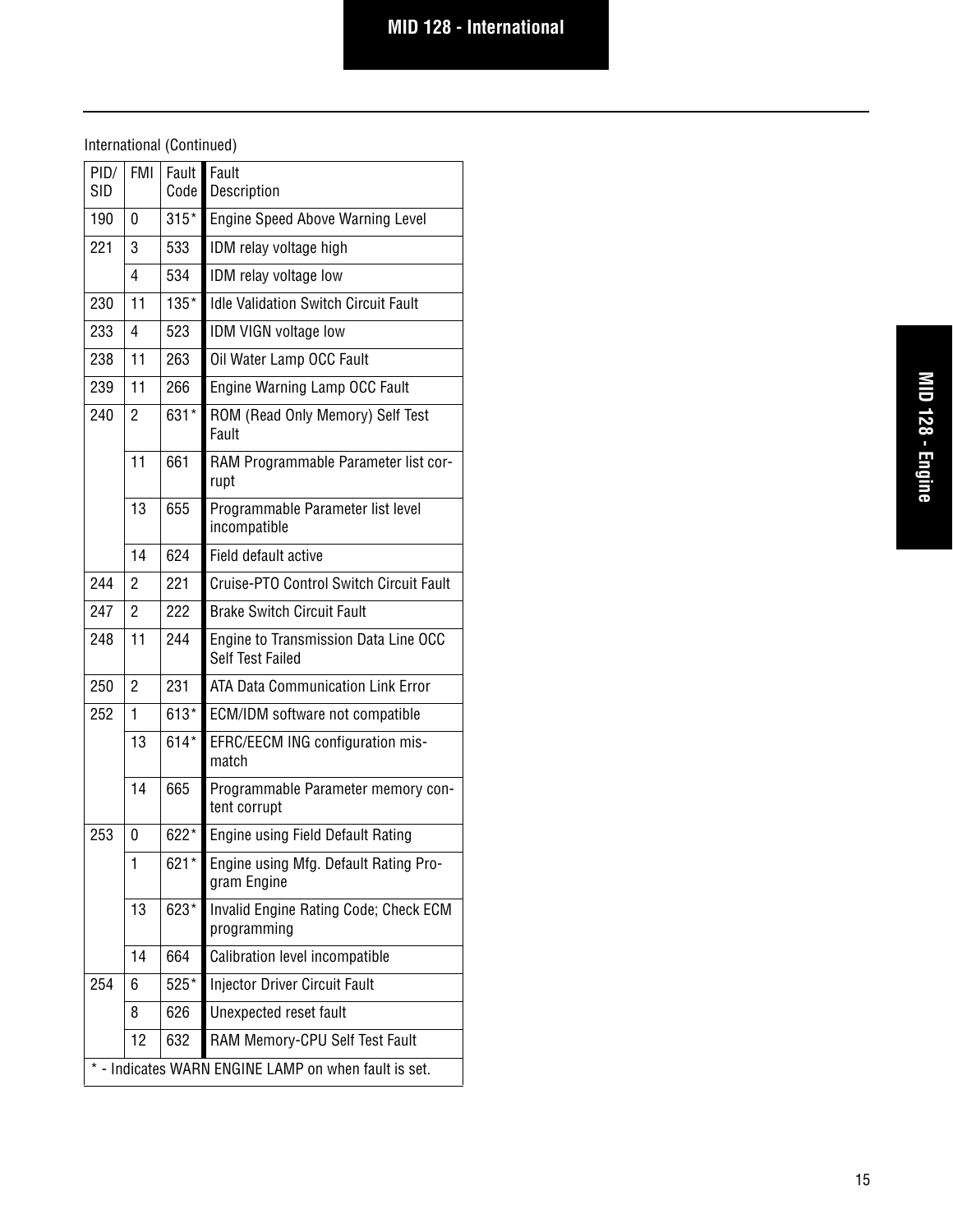| PID/<br>SID                                        | <b>FMI</b>     | Fault<br>Code | Fault<br>Description                                     |  |  |
|----------------------------------------------------|----------------|---------------|----------------------------------------------------------|--|--|
| 190                                                | 0              | $315*$        | <b>Engine Speed Above Warning Level</b>                  |  |  |
| 221<br>3                                           |                | 533           |                                                          |  |  |
|                                                    |                |               | IDM relay voltage high                                   |  |  |
|                                                    | 4              | 534           | IDM relay voltage low                                    |  |  |
| 230                                                | 11             | $135*$        | <b>Idle Validation Switch Circuit Fault</b>              |  |  |
| 233                                                | 4              | 523           | IDM VIGN voltage low                                     |  |  |
| 238                                                | 11             | 263           | Oil Water Lamp OCC Fault                                 |  |  |
| 239                                                | 11             | 266           | Engine Warning Lamp OCC Fault                            |  |  |
| 631*<br>240<br>2                                   |                |               | ROM (Read Only Memory) Self Test<br>Fault                |  |  |
|                                                    | 11             | 661           | RAM Programmable Parameter list cor-<br>rupt             |  |  |
|                                                    | 13             | 655           | Programmable Parameter list level<br>incompatible        |  |  |
|                                                    | 14             | 624           | Field default active                                     |  |  |
| 244                                                | 2              | 221           | <b>Cruise-PTO Control Switch Circuit Fault</b>           |  |  |
| 247                                                | $\overline{c}$ | 222           | <b>Brake Switch Circuit Fault</b>                        |  |  |
| 248                                                | 11             | 244           | Engine to Transmission Data Line OCC<br>Self Test Failed |  |  |
| 250                                                | $\overline{2}$ | 231           | ATA Data Communication Link Error                        |  |  |
| 252                                                | 1              | $613*$        | ECM/IDM software not compatible                          |  |  |
|                                                    | 13             | $614*$        | EFRC/EECM ING configuration mis-<br>match                |  |  |
|                                                    | 14             | 665           | Programmable Parameter memory con-<br>tent corrupt       |  |  |
| 253                                                | 0              | $622*$        | Engine using Field Default Rating                        |  |  |
|                                                    | 1              | 621*          | Engine using Mfg. Default Rating Pro-<br>gram Engine     |  |  |
|                                                    | 13             | 623*          | Invalid Engine Rating Code; Check ECM<br>programming     |  |  |
|                                                    | 14             | 664           | Calibration level incompatible                           |  |  |
| 254                                                | 6              | $525*$        | <b>Injector Driver Circuit Fault</b>                     |  |  |
|                                                    | 8              | 626           | Unexpected reset fault                                   |  |  |
|                                                    | 12             | 632           | RAM Memory-CPU Self Test Fault                           |  |  |
| - Indicates WARN ENGINE LAMP on when fault is set. |                |               |                                                          |  |  |
|                                                    |                |               |                                                          |  |  |